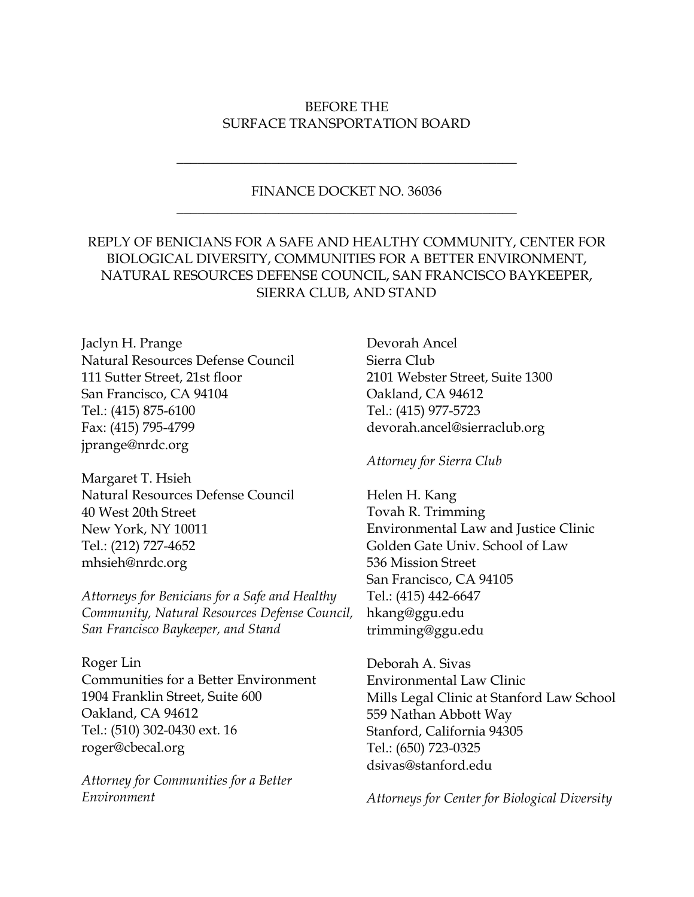# BEFORE THE SURFACE TRANSPORTATION BOARD

# FINANCE DOCKET NO. 36036 \_\_\_\_\_\_\_\_\_\_\_\_\_\_\_\_\_\_\_\_\_\_\_\_\_\_\_\_\_\_\_\_\_\_\_\_\_\_\_\_\_\_\_\_\_\_\_\_\_\_

\_\_\_\_\_\_\_\_\_\_\_\_\_\_\_\_\_\_\_\_\_\_\_\_\_\_\_\_\_\_\_\_\_\_\_\_\_\_\_\_\_\_\_\_\_\_\_\_\_\_

# REPLY OF BENICIANS FOR A SAFE AND HEALTHY COMMUNITY, CENTER FOR BIOLOGICAL DIVERSITY, COMMUNITIES FOR A BETTER ENVIRONMENT, NATURAL RESOURCES DEFENSE COUNCIL, SAN FRANCISCO BAYKEEPER, SIERRA CLUB, AND STAND

Jaclyn H. Prange Natural Resources Defense Council 111 Sutter Street, 21st floor San Francisco, CA 94104 Tel.: (415) 875-6100 Fax: (415) 795-4799 jprange@nrdc.org

Margaret T. Hsieh Natural Resources Defense Council 40 West 20th Street New York, NY 10011 Tel.: (212) 727-4652 mhsieh@nrdc.org

*Attorneys for Benicians for a Safe and Healthy Community, Natural Resources Defense Council, San Francisco Baykeeper, and Stand*

Roger Lin Communities for a Better Environment 1904 Franklin Street, Suite 600 Oakland, CA 94612 Tel.: (510) 302-0430 ext. 16 roger@cbecal.org

*Attorney for Communities for a Better Environment*

Devorah Ancel Sierra Club 2101 Webster Street, Suite 1300 Oakland, CA 94612 Tel.: (415) 977-5723 devorah.ancel@sierraclub.org

*Attorney for Sierra Club*

Helen H. Kang Tovah R. Trimming Environmental Law and Justice Clinic Golden Gate Univ. School of Law 536 Mission Street San Francisco, CA 94105 Tel.: (415) 442-6647 hkang@ggu.edu trimming@ggu.edu

Deborah A. Sivas Environmental Law Clinic Mills Legal Clinic at Stanford Law School 559 Nathan Abbott Way Stanford, California 94305 Tel.: (650) 723-0325 dsivas@stanford.edu

*Attorneys for Center for Biological Diversity*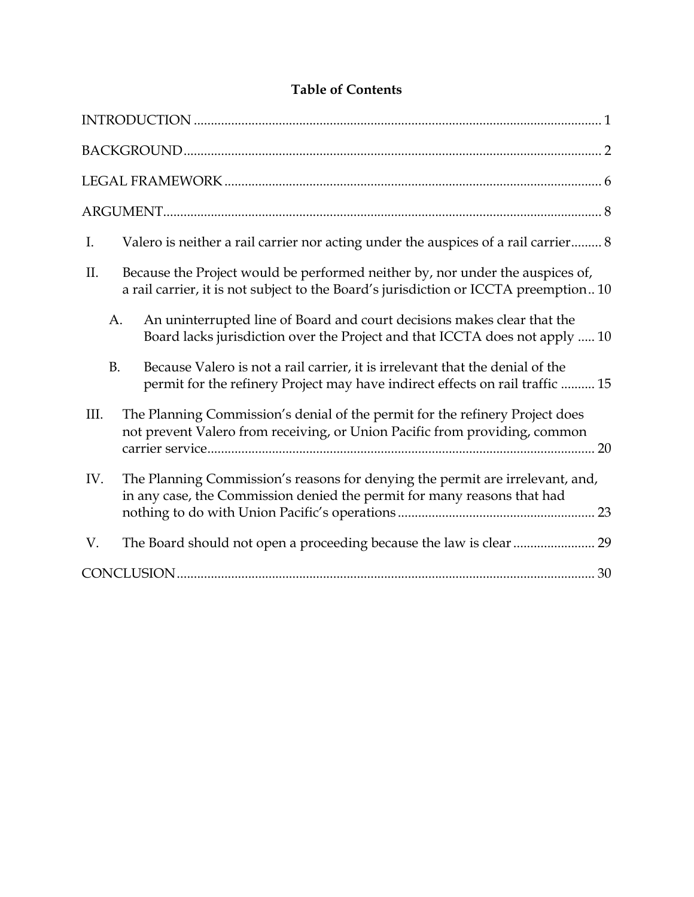# **Table of Contents**

| Valero is neither a rail carrier nor acting under the auspices of a rail carrier 8<br>I.                                                                                     |
|------------------------------------------------------------------------------------------------------------------------------------------------------------------------------|
| Because the Project would be performed neither by, nor under the auspices of,<br>II.<br>a rail carrier, it is not subject to the Board's jurisdiction or ICCTA preemption 10 |
| An uninterrupted line of Board and court decisions makes clear that the<br>A.<br>Board lacks jurisdiction over the Project and that ICCTA does not apply  10                 |
| <b>B.</b><br>Because Valero is not a rail carrier, it is irrelevant that the denial of the<br>permit for the refinery Project may have indirect effects on rail traffic  15  |
| The Planning Commission's denial of the permit for the refinery Project does<br>III.<br>not prevent Valero from receiving, or Union Pacific from providing, common           |
| The Planning Commission's reasons for denying the permit are irrelevant, and,<br>IV.<br>in any case, the Commission denied the permit for many reasons that had              |
| V.                                                                                                                                                                           |
|                                                                                                                                                                              |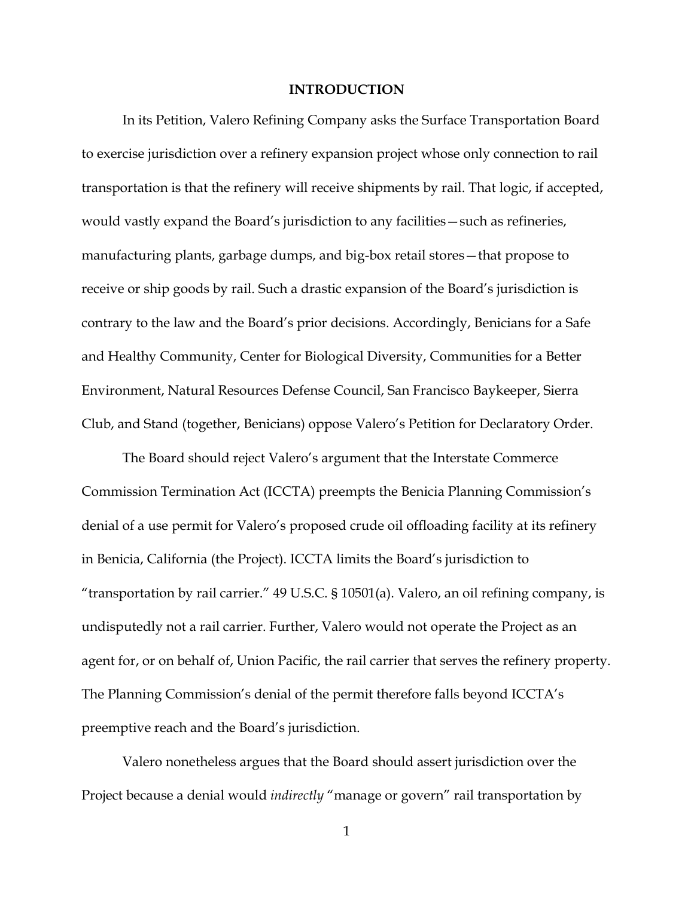#### **INTRODUCTION**

In its Petition, Valero Refining Company asks the Surface Transportation Board to exercise jurisdiction over a refinery expansion project whose only connection to rail transportation is that the refinery will receive shipments by rail. That logic, if accepted, would vastly expand the Board's jurisdiction to any facilities—such as refineries, manufacturing plants, garbage dumps, and big-box retail stores—that propose to receive or ship goods by rail. Such a drastic expansion of the Board's jurisdiction is contrary to the law and the Board's prior decisions. Accordingly, Benicians for a Safe and Healthy Community, Center for Biological Diversity, Communities for a Better Environment, Natural Resources Defense Council, San Francisco Baykeeper, Sierra Club, and Stand (together, Benicians) oppose Valero's Petition for Declaratory Order.

The Board should reject Valero's argument that the Interstate Commerce Commission Termination Act (ICCTA) preempts the Benicia Planning Commission's denial of a use permit for Valero's proposed crude oil offloading facility at its refinery in Benicia, California (the Project). ICCTA limits the Board's jurisdiction to "transportation by rail carrier." 49 U.S.C. § 10501(a). Valero, an oil refining company, is undisputedly not a rail carrier. Further, Valero would not operate the Project as an agent for, or on behalf of, Union Pacific, the rail carrier that serves the refinery property. The Planning Commission's denial of the permit therefore falls beyond ICCTA's preemptive reach and the Board's jurisdiction.

Valero nonetheless argues that the Board should assert jurisdiction over the Project because a denial would *indirectly* "manage or govern" rail transportation by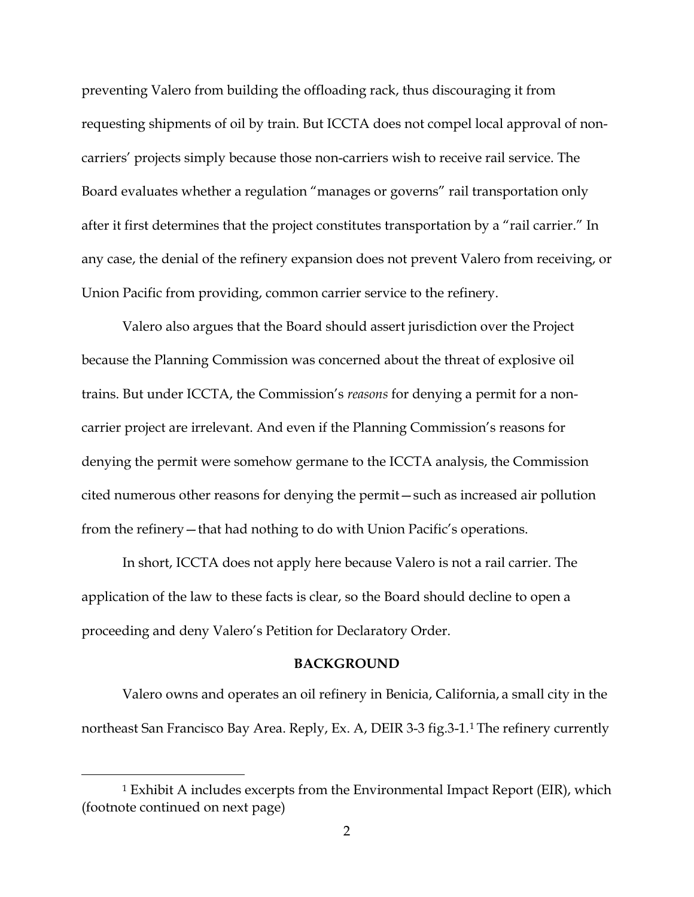preventing Valero from building the offloading rack, thus discouraging it from requesting shipments of oil by train. But ICCTA does not compel local approval of noncarriers' projects simply because those non-carriers wish to receive rail service. The Board evaluates whether a regulation "manages or governs" rail transportation only after it first determines that the project constitutes transportation by a "rail carrier." In any case, the denial of the refinery expansion does not prevent Valero from receiving, or Union Pacific from providing, common carrier service to the refinery.

Valero also argues that the Board should assert jurisdiction over the Project because the Planning Commission was concerned about the threat of explosive oil trains. But under ICCTA, the Commission's *reasons* for denying a permit for a noncarrier project are irrelevant. And even if the Planning Commission's reasons for denying the permit were somehow germane to the ICCTA analysis, the Commission cited numerous other reasons for denying the permit—such as increased air pollution from the refinery—that had nothing to do with Union Pacific's operations.

In short, ICCTA does not apply here because Valero is not a rail carrier. The application of the law to these facts is clear, so the Board should decline to open a proceeding and deny Valero's Petition for Declaratory Order.

#### **BACKGROUND**

Valero owns and operates an oil refinery in Benicia, California, a small city in the northeast San Francisco Bay Area. Reply, Ex. A, DEIR 3-3 fig.3-1.1 The refinery currently

 <sup>1</sup> Exhibit A includes excerpts from the Environmental Impact Report (EIR), which (footnote continued on next page)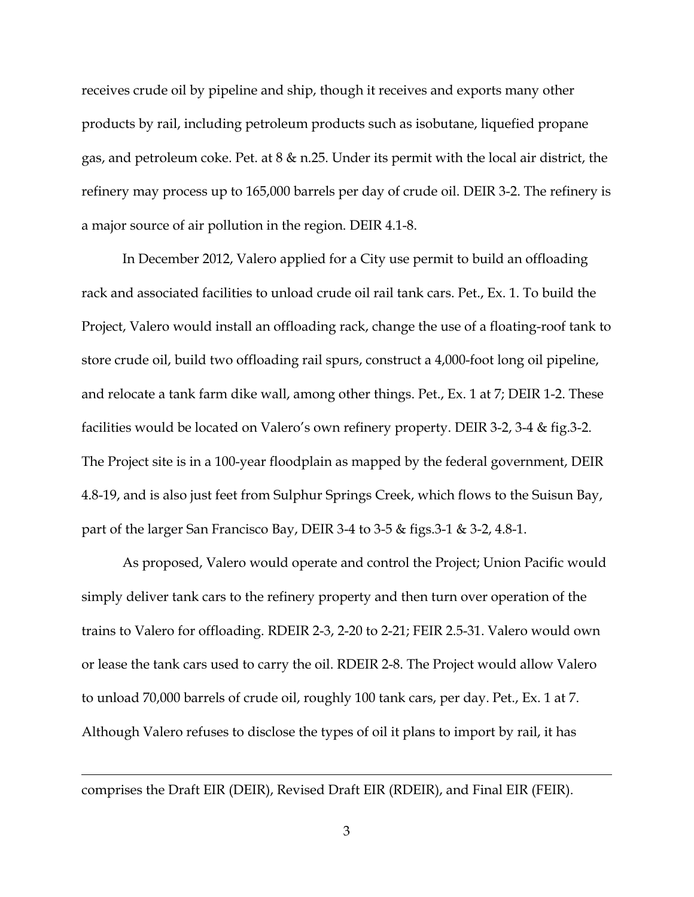receives crude oil by pipeline and ship, though it receives and exports many other products by rail, including petroleum products such as isobutane, liquefied propane gas, and petroleum coke. Pet. at 8 & n.25. Under its permit with the local air district, the refinery may process up to 165,000 barrels per day of crude oil. DEIR 3-2. The refinery is a major source of air pollution in the region. DEIR 4.1-8.

In December 2012, Valero applied for a City use permit to build an offloading rack and associated facilities to unload crude oil rail tank cars. Pet., Ex. 1. To build the Project, Valero would install an offloading rack, change the use of a floating-roof tank to store crude oil, build two offloading rail spurs, construct a 4,000-foot long oil pipeline, and relocate a tank farm dike wall, among other things. Pet., Ex. 1 at 7; DEIR 1-2. These facilities would be located on Valero's own refinery property. DEIR 3-2, 3-4 & fig.3-2. The Project site is in a 100-year floodplain as mapped by the federal government, DEIR 4.8-19, and is also just feet from Sulphur Springs Creek, which flows to the Suisun Bay, part of the larger San Francisco Bay, DEIR 3-4 to 3-5 & figs.3-1 & 3-2, 4.8-1.

As proposed, Valero would operate and control the Project; Union Pacific would simply deliver tank cars to the refinery property and then turn over operation of the trains to Valero for offloading. RDEIR 2-3, 2-20 to 2-21; FEIR 2.5-31. Valero would own or lease the tank cars used to carry the oil. RDEIR 2-8. The Project would allow Valero to unload 70,000 barrels of crude oil, roughly 100 tank cars, per day. Pet., Ex. 1 at 7. Although Valero refuses to disclose the types of oil it plans to import by rail, it has

comprises the Draft EIR (DEIR), Revised Draft EIR (RDEIR), and Final EIR (FEIR).

 $\overline{a}$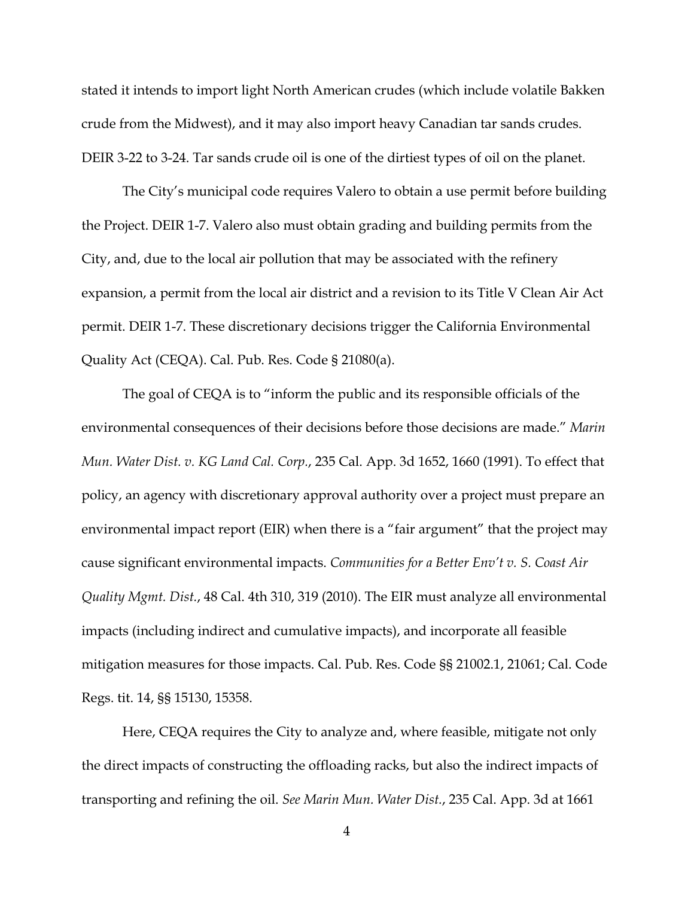stated it intends to import light North American crudes (which include volatile Bakken crude from the Midwest), and it may also import heavy Canadian tar sands crudes. DEIR 3-22 to 3-24. Tar sands crude oil is one of the dirtiest types of oil on the planet.

The City's municipal code requires Valero to obtain a use permit before building the Project. DEIR 1-7. Valero also must obtain grading and building permits from the City, and, due to the local air pollution that may be associated with the refinery expansion, a permit from the local air district and a revision to its Title V Clean Air Act permit. DEIR 1-7. These discretionary decisions trigger the California Environmental Quality Act (CEQA). Cal. Pub. Res. Code § 21080(a).

The goal of CEQA is to "inform the public and its responsible officials of the environmental consequences of their decisions before those decisions are made." *Marin Mun. Water Dist. v. KG Land Cal. Corp.*, 235 Cal. App. 3d 1652, 1660 (1991). To effect that policy, an agency with discretionary approval authority over a project must prepare an environmental impact report (EIR) when there is a "fair argument" that the project may cause significant environmental impacts. *Communities for a Better Env't v. S. Coast Air Quality Mgmt. Dist.*, 48 Cal. 4th 310, 319 (2010). The EIR must analyze all environmental impacts (including indirect and cumulative impacts), and incorporate all feasible mitigation measures for those impacts. Cal. Pub. Res. Code §§ 21002.1, 21061; Cal. Code Regs. tit. 14, §§ 15130, 15358.

Here, CEQA requires the City to analyze and, where feasible, mitigate not only the direct impacts of constructing the offloading racks, but also the indirect impacts of transporting and refining the oil. *See Marin Mun. Water Dist.*, 235 Cal. App. 3d at 1661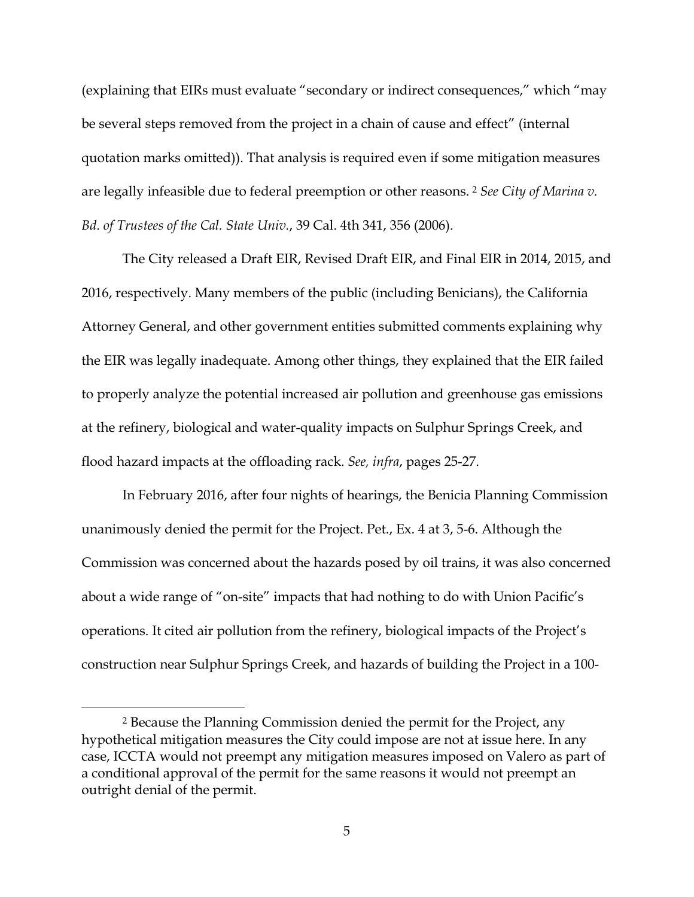(explaining that EIRs must evaluate "secondary or indirect consequences," which "may be several steps removed from the project in a chain of cause and effect" (internal quotation marks omitted)). That analysis is required even if some mitigation measures are legally infeasible due to federal preemption or other reasons. <sup>2</sup> *See City of Marina v. Bd. of Trustees of the Cal. State Univ.*, 39 Cal. 4th 341, 356 (2006).

The City released a Draft EIR, Revised Draft EIR, and Final EIR in 2014, 2015, and 2016, respectively. Many members of the public (including Benicians), the California Attorney General, and other government entities submitted comments explaining why the EIR was legally inadequate. Among other things, they explained that the EIR failed to properly analyze the potential increased air pollution and greenhouse gas emissions at the refinery, biological and water-quality impacts on Sulphur Springs Creek, and flood hazard impacts at the offloading rack. *See, infra*, pages 25-27.

In February 2016, after four nights of hearings, the Benicia Planning Commission unanimously denied the permit for the Project. Pet., Ex. 4 at 3, 5-6. Although the Commission was concerned about the hazards posed by oil trains, it was also concerned about a wide range of "on-site" impacts that had nothing to do with Union Pacific's operations. It cited air pollution from the refinery, biological impacts of the Project's construction near Sulphur Springs Creek, and hazards of building the Project in a 100-

 <sup>2</sup> Because the Planning Commission denied the permit for the Project, any hypothetical mitigation measures the City could impose are not at issue here. In any case, ICCTA would not preempt any mitigation measures imposed on Valero as part of a conditional approval of the permit for the same reasons it would not preempt an outright denial of the permit.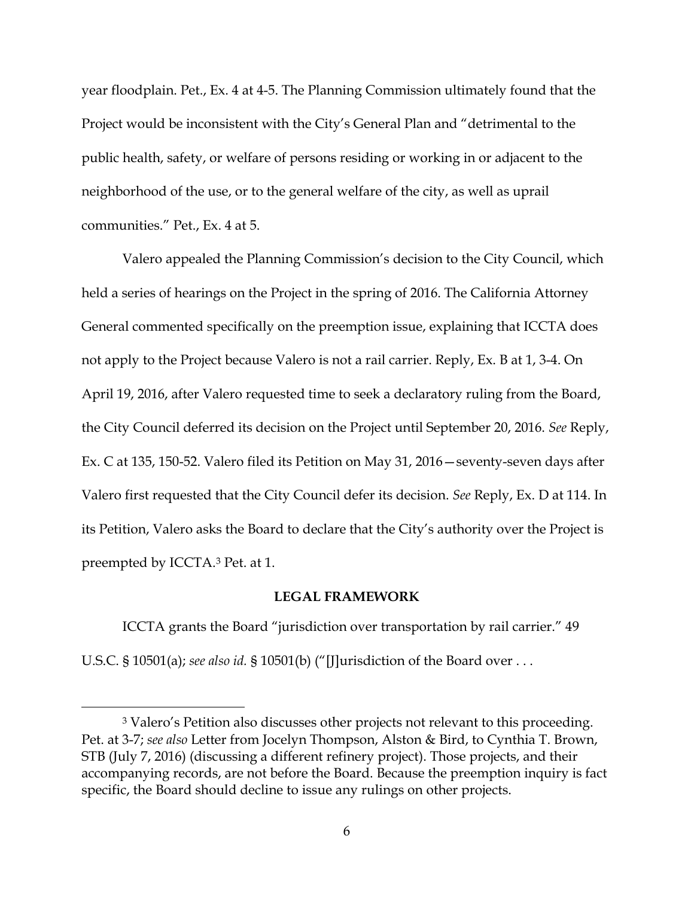year floodplain. Pet., Ex. 4 at 4-5. The Planning Commission ultimately found that the Project would be inconsistent with the City's General Plan and "detrimental to the public health, safety, or welfare of persons residing or working in or adjacent to the neighborhood of the use, or to the general welfare of the city, as well as uprail communities." Pet., Ex. 4 at 5.

Valero appealed the Planning Commission's decision to the City Council, which held a series of hearings on the Project in the spring of 2016. The California Attorney General commented specifically on the preemption issue, explaining that ICCTA does not apply to the Project because Valero is not a rail carrier. Reply, Ex. B at 1, 3-4. On April 19, 2016, after Valero requested time to seek a declaratory ruling from the Board, the City Council deferred its decision on the Project until September 20, 2016. *See* Reply, Ex. C at 135, 150-52. Valero filed its Petition on May 31, 2016—seventy-seven days after Valero first requested that the City Council defer its decision. *See* Reply, Ex. D at 114. In its Petition, Valero asks the Board to declare that the City's authority over the Project is preempted by ICCTA.3 Pet. at 1.

#### **LEGAL FRAMEWORK**

ICCTA grants the Board "jurisdiction over transportation by rail carrier." 49 U.S.C. § 10501(a); *see also id.* § 10501(b) ("[J]urisdiction of the Board over . . .

 <sup>3</sup> Valero's Petition also discusses other projects not relevant to this proceeding. Pet. at 3-7; *see also* Letter from Jocelyn Thompson, Alston & Bird, to Cynthia T. Brown, STB (July 7, 2016) (discussing a different refinery project). Those projects, and their accompanying records, are not before the Board. Because the preemption inquiry is fact specific, the Board should decline to issue any rulings on other projects.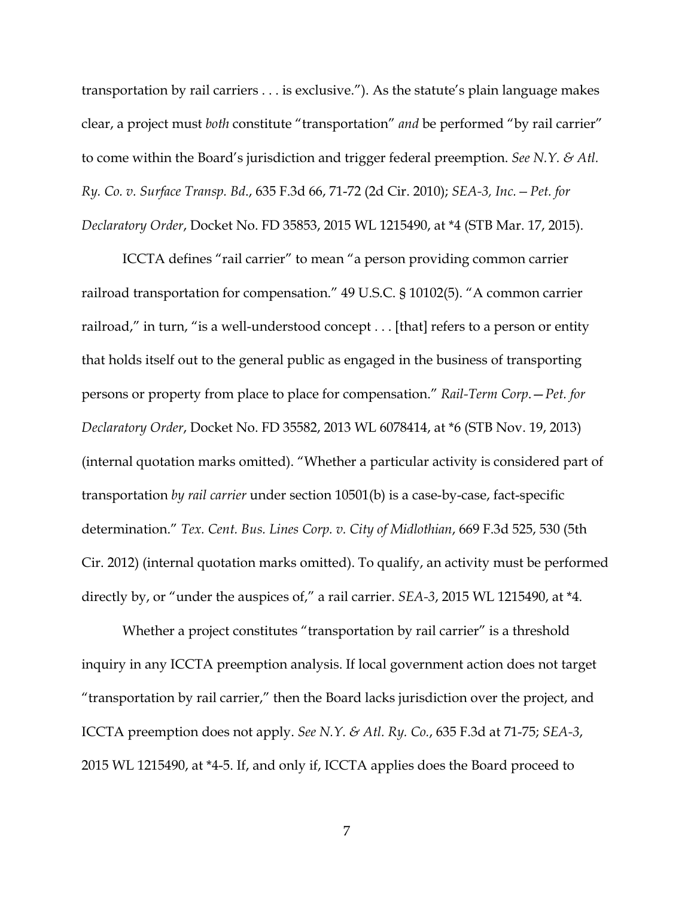transportation by rail carriers . . . is exclusive."). As the statute's plain language makes clear, a project must *both* constitute "transportation" *and* be performed "by rail carrier" to come within the Board's jurisdiction and trigger federal preemption. *See N.Y. & Atl. Ry. Co. v. Surface Transp. Bd*., 635 F.3d 66, 71-72 (2d Cir. 2010); *SEA-3, Inc.—Pet. for Declaratory Order*, Docket No. FD 35853, 2015 WL 1215490, at \*4 (STB Mar. 17, 2015).

ICCTA defines "rail carrier" to mean "a person providing common carrier railroad transportation for compensation." 49 U.S.C. § 10102(5). "A common carrier railroad," in turn, "is a well-understood concept . . . [that] refers to a person or entity that holds itself out to the general public as engaged in the business of transporting persons or property from place to place for compensation." *Rail-Term Corp*.—*Pet. for Declaratory Order*, Docket No. FD 35582, 2013 WL 6078414, at \*6 (STB Nov. 19, 2013) (internal quotation marks omitted). "Whether a particular activity is considered part of transportation *by rail carrier* under section 10501(b) is a case-by-case, fact-specific determination." *Tex. Cent. Bus. Lines Corp. v. City of Midlothian*, 669 F.3d 525, 530 (5th Cir. 2012) (internal quotation marks omitted). To qualify, an activity must be performed directly by, or "under the auspices of," a rail carrier. *SEA-3*, 2015 WL 1215490, at \*4.

Whether a project constitutes "transportation by rail carrier" is a threshold inquiry in any ICCTA preemption analysis. If local government action does not target "transportation by rail carrier," then the Board lacks jurisdiction over the project, and ICCTA preemption does not apply. *See N.Y. & Atl. Ry. Co.*, 635 F.3d at 71-75; *SEA-3*, 2015 WL 1215490, at \*4-5. If, and only if, ICCTA applies does the Board proceed to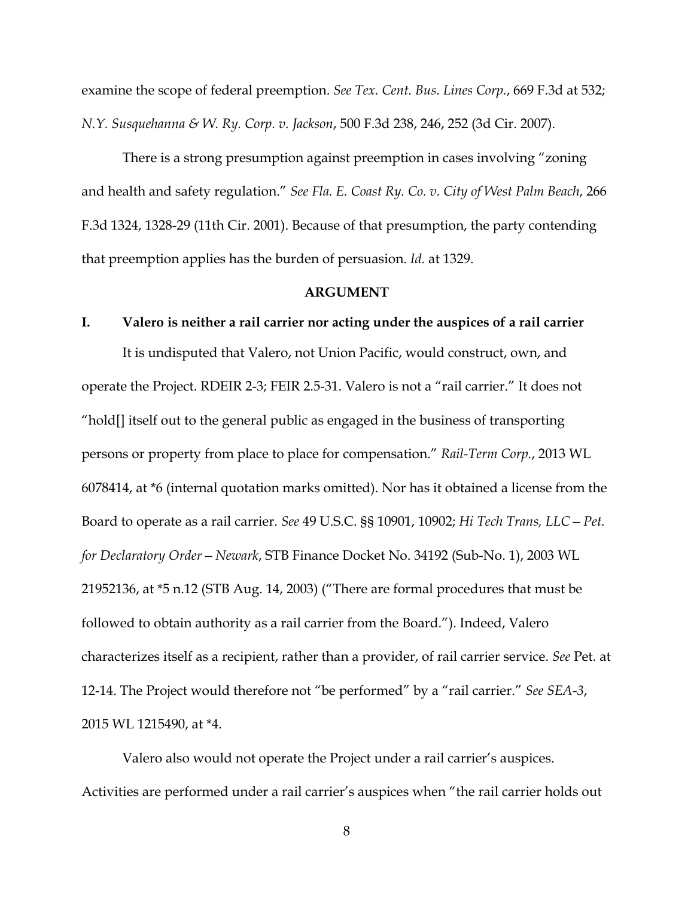examine the scope of federal preemption. *See Tex. Cent. Bus. Lines Corp.*, 669 F.3d at 532; *N.Y. Susquehanna & W. Ry. Corp. v. Jackson*, 500 F.3d 238, 246, 252 (3d Cir. 2007).

There is a strong presumption against preemption in cases involving "zoning and health and safety regulation." *See Fla. E. Coast Ry. Co. v. City of West Palm Beach*, 266 F.3d 1324, 1328-29 (11th Cir. 2001). Because of that presumption, the party contending that preemption applies has the burden of persuasion. *Id.* at 1329.

#### **ARGUMENT**

### **I. Valero is neither a rail carrier nor acting under the auspices of a rail carrier**

It is undisputed that Valero, not Union Pacific, would construct, own, and operate the Project. RDEIR 2-3; FEIR 2.5-31. Valero is not a "rail carrier." It does not "hold[] itself out to the general public as engaged in the business of transporting persons or property from place to place for compensation." *Rail-Term Corp.*, 2013 WL 6078414, at \*6 (internal quotation marks omitted). Nor has it obtained a license from the Board to operate as a rail carrier. *See* 49 U.S.C. §§ 10901, 10902; *Hi Tech Trans, LLC—Pet. for Declaratory Order—Newark*, STB Finance Docket No. 34192 (Sub-No. 1), 2003 WL 21952136, at \*5 n.12 (STB Aug. 14, 2003) ("There are formal procedures that must be followed to obtain authority as a rail carrier from the Board."). Indeed, Valero characterizes itself as a recipient, rather than a provider, of rail carrier service. *See* Pet. at 12-14. The Project would therefore not "be performed" by a "rail carrier." *See SEA-3*, 2015 WL 1215490, at \*4.

Valero also would not operate the Project under a rail carrier's auspices. Activities are performed under a rail carrier's auspices when "the rail carrier holds out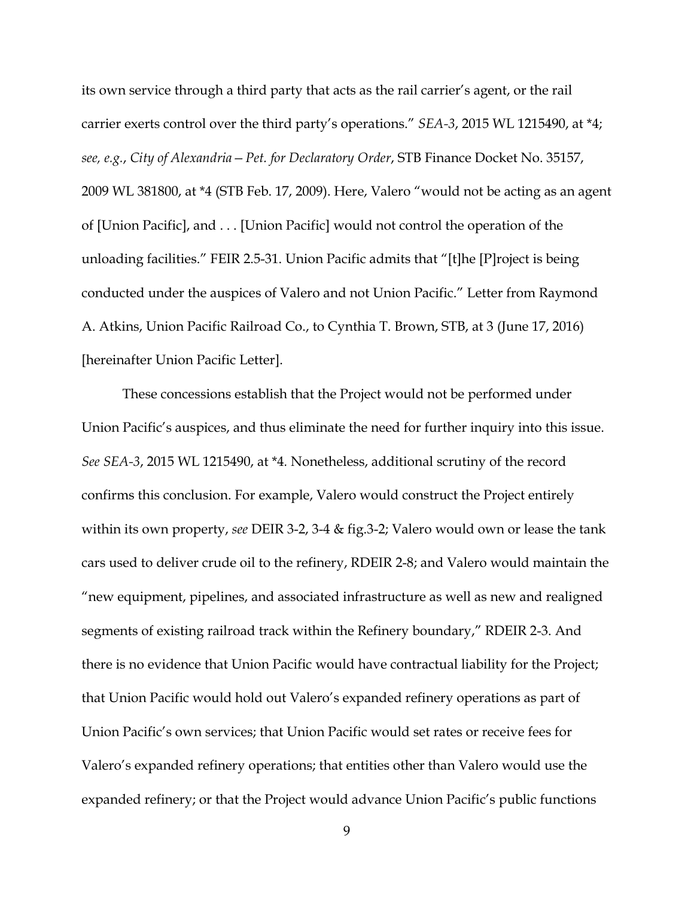its own service through a third party that acts as the rail carrier's agent, or the rail carrier exerts control over the third party's operations." *SEA-3*, 2015 WL 1215490, at \*4; *see, e.g.*, *City of Alexandria—Pet. for Declaratory Order*, STB Finance Docket No. 35157, 2009 WL 381800, at \*4 (STB Feb. 17, 2009). Here, Valero "would not be acting as an agent of [Union Pacific], and . . . [Union Pacific] would not control the operation of the unloading facilities." FEIR 2.5-31. Union Pacific admits that "[t]he [P]roject is being conducted under the auspices of Valero and not Union Pacific." Letter from Raymond A. Atkins, Union Pacific Railroad Co., to Cynthia T. Brown, STB, at 3 (June 17, 2016) [hereinafter Union Pacific Letter].

These concessions establish that the Project would not be performed under Union Pacific's auspices, and thus eliminate the need for further inquiry into this issue. *See SEA-3*, 2015 WL 1215490, at \*4*.* Nonetheless, additional scrutiny of the record confirms this conclusion. For example, Valero would construct the Project entirely within its own property, *see* DEIR 3-2, 3-4 & fig.3-2; Valero would own or lease the tank cars used to deliver crude oil to the refinery, RDEIR 2-8; and Valero would maintain the "new equipment, pipelines, and associated infrastructure as well as new and realigned segments of existing railroad track within the Refinery boundary," RDEIR 2-3. And there is no evidence that Union Pacific would have contractual liability for the Project; that Union Pacific would hold out Valero's expanded refinery operations as part of Union Pacific's own services; that Union Pacific would set rates or receive fees for Valero's expanded refinery operations; that entities other than Valero would use the expanded refinery; or that the Project would advance Union Pacific's public functions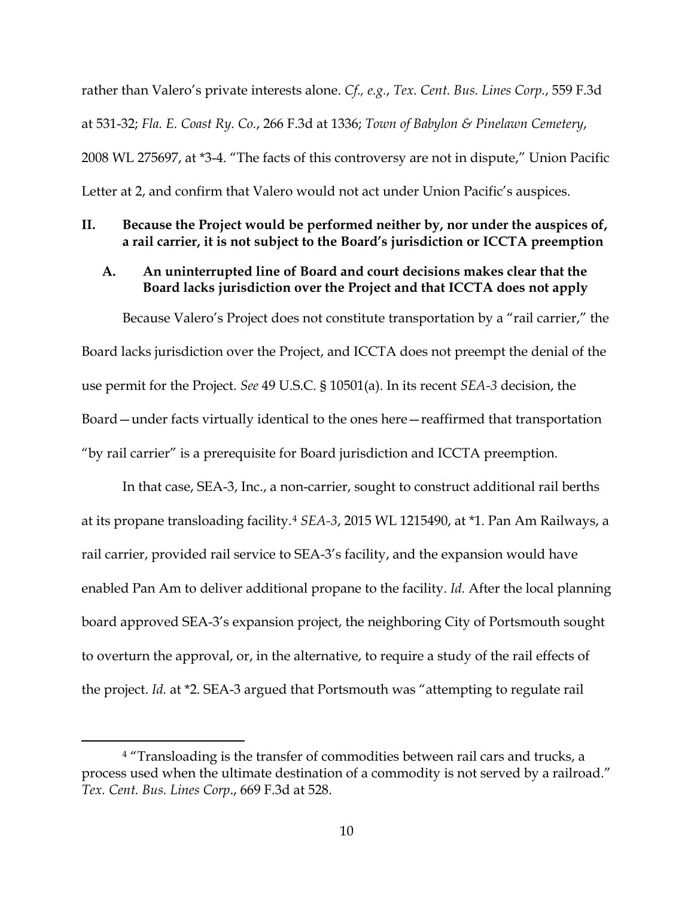rather than Valero's private interests alone. *Cf., e.g.*, *Tex. Cent. Bus. Lines Corp.*, 559 F.3d at 531-32; *Fla. E. Coast Ry. Co.*, 266 F.3d at 1336; *Town of Babylon & Pinelawn Cemetery*, 2008 WL 275697, at \*3-4. "The facts of this controversy are not in dispute," Union Pacific Letter at 2, and confirm that Valero would not act under Union Pacific's auspices.

### **II. Because the Project would be performed neither by, nor under the auspices of, a rail carrier, it is not subject to the Board's jurisdiction or ICCTA preemption**

### **A. An uninterrupted line of Board and court decisions makes clear that the Board lacks jurisdiction over the Project and that ICCTA does not apply**

 Because Valero's Project does not constitute transportation by a "rail carrier," the Board lacks jurisdiction over the Project, and ICCTA does not preempt the denial of the use permit for the Project. *See* 49 U.S.C. § 10501(a). In its recent *SEA-3* decision, the Board—under facts virtually identical to the ones here—reaffirmed that transportation "by rail carrier" is a prerequisite for Board jurisdiction and ICCTA preemption.

In that case, SEA-3, Inc., a non-carrier, sought to construct additional rail berths at its propane transloading facility.4 *SEA-3*, 2015 WL 1215490, at \*1. Pan Am Railways, a rail carrier, provided rail service to SEA-3's facility, and the expansion would have enabled Pan Am to deliver additional propane to the facility. *Id.* After the local planning board approved SEA-3's expansion project, the neighboring City of Portsmouth sought to overturn the approval, or, in the alternative, to require a study of the rail effects of the project. *Id.* at \*2. SEA-3 argued that Portsmouth was "attempting to regulate rail

<sup>&</sup>lt;sup>4</sup> "Transloading is the transfer of commodities between rail cars and trucks, a process used when the ultimate destination of a commodity is not served by a railroad." *Tex. Cent. Bus. Lines Corp*., 669 F.3d at 528.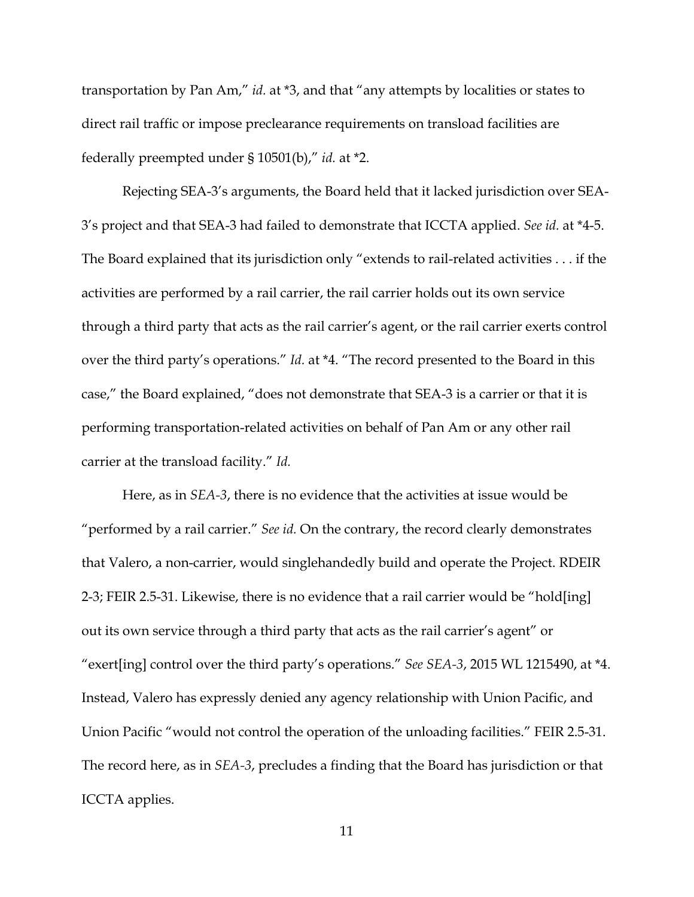transportation by Pan Am," *id.* at \*3, and that "any attempts by localities or states to direct rail traffic or impose preclearance requirements on transload facilities are federally preempted under § 10501(b)," *id.* at \*2.

Rejecting SEA-3's arguments, the Board held that it lacked jurisdiction over SEA-3's project and that SEA-3 had failed to demonstrate that ICCTA applied. *See id.* at \*4-5. The Board explained that its jurisdiction only "extends to rail-related activities . . . if the activities are performed by a rail carrier, the rail carrier holds out its own service through a third party that acts as the rail carrier's agent, or the rail carrier exerts control over the third party's operations." *Id.* at \*4. "The record presented to the Board in this case," the Board explained, "does not demonstrate that SEA-3 is a carrier or that it is performing transportation-related activities on behalf of Pan Am or any other rail carrier at the transload facility." *Id.*

Here, as in *SEA-3*, there is no evidence that the activities at issue would be "performed by a rail carrier." *See id.* On the contrary, the record clearly demonstrates that Valero, a non-carrier, would singlehandedly build and operate the Project. RDEIR 2-3; FEIR 2.5-31. Likewise, there is no evidence that a rail carrier would be "hold[ing] out its own service through a third party that acts as the rail carrier's agent" or "exert[ing] control over the third party's operations." *See SEA-3*, 2015 WL 1215490, at \*4. Instead, Valero has expressly denied any agency relationship with Union Pacific, and Union Pacific "would not control the operation of the unloading facilities." FEIR 2.5-31. The record here, as in *SEA-3*, precludes a finding that the Board has jurisdiction or that ICCTA applies.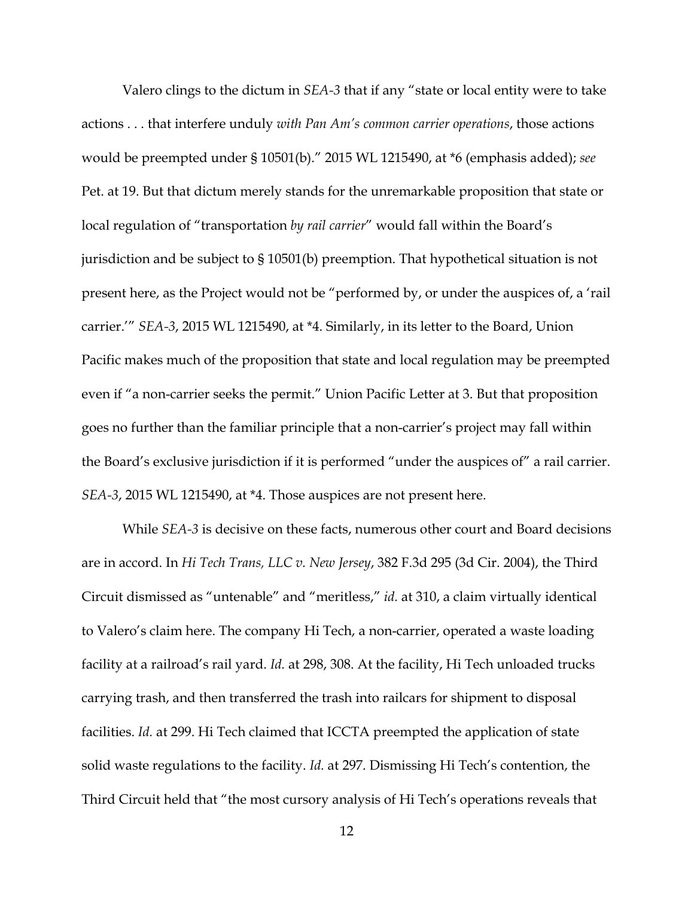Valero clings to the dictum in *SEA-3* that if any "state or local entity were to take actions . . . that interfere unduly *with Pan Am's common carrier operations*, those actions would be preempted under § 10501(b)." 2015 WL 1215490, at \*6 (emphasis added); *see* Pet. at 19. But that dictum merely stands for the unremarkable proposition that state or local regulation of "transportation *by rail carrier*" would fall within the Board's jurisdiction and be subject to § 10501(b) preemption. That hypothetical situation is not present here, as the Project would not be "performed by, or under the auspices of, a 'rail carrier.'" *SEA-3*, 2015 WL 1215490, at \*4. Similarly, in its letter to the Board, Union Pacific makes much of the proposition that state and local regulation may be preempted even if "a non-carrier seeks the permit." Union Pacific Letter at 3. But that proposition goes no further than the familiar principle that a non-carrier's project may fall within the Board's exclusive jurisdiction if it is performed "under the auspices of" a rail carrier. *SEA-3*, 2015 WL 1215490, at \*4. Those auspices are not present here.

While *SEA-3* is decisive on these facts, numerous other court and Board decisions are in accord. In *Hi Tech Trans, LLC v. New Jersey*, 382 F.3d 295 (3d Cir. 2004), the Third Circuit dismissed as "untenable" and "meritless," *id.* at 310, a claim virtually identical to Valero's claim here. The company Hi Tech, a non-carrier, operated a waste loading facility at a railroad's rail yard. *Id.* at 298, 308. At the facility, Hi Tech unloaded trucks carrying trash, and then transferred the trash into railcars for shipment to disposal facilities. *Id.* at 299. Hi Tech claimed that ICCTA preempted the application of state solid waste regulations to the facility. *Id.* at 297. Dismissing Hi Tech's contention, the Third Circuit held that "the most cursory analysis of Hi Tech's operations reveals that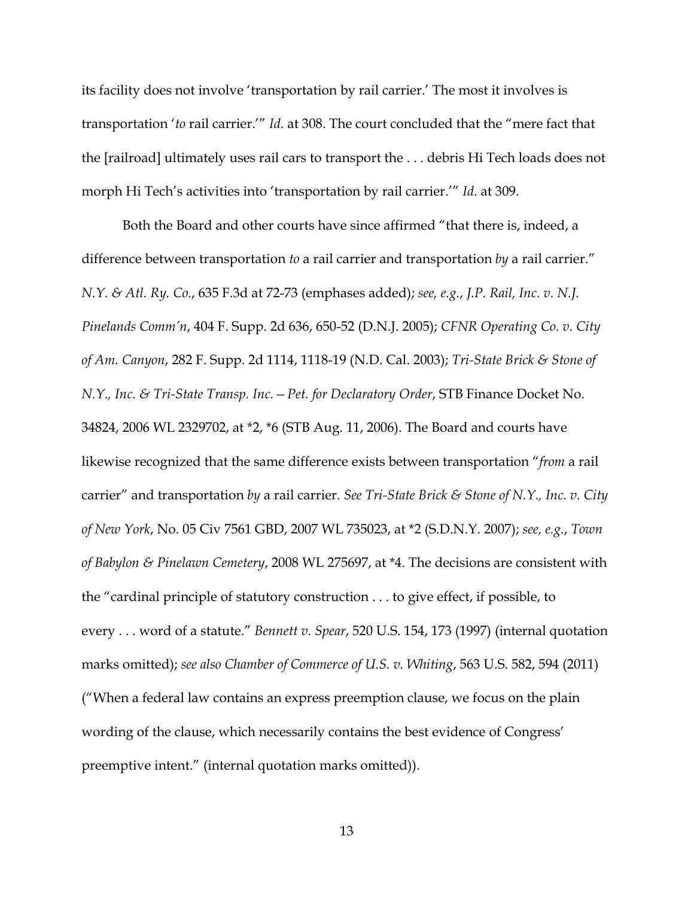its facility does not involve 'transportation by rail carrier.' The most it involves is transportation '*to* rail carrier.'" *Id.* at 308. The court concluded that the "mere fact that the [railroad] ultimately uses rail cars to transport the . . . debris Hi Tech loads does not morph Hi Tech's activities into 'transportation by rail carrier.'" *Id.* at 309.

Both the Board and other courts have since affirmed "that there is, indeed, a difference between transportation *to* a rail carrier and transportation *by* a rail carrier." *N.Y. & Atl. Ry. Co.*, 635 F.3d at 72-73 (emphases added); *see, e.g.*, *J.P. Rail, Inc. v. N.J. Pinelands Comm'n*, 404 F. Supp. 2d 636, 650-52 (D.N.J. 2005); *CFNR Operating Co. v. City of Am. Canyon*, 282 F. Supp. 2d 1114, 1118-19 (N.D. Cal. 2003); *Tri-State Brick & Stone of N.Y., Inc. & Tri-State Transp. Inc.—Pet. for Declaratory Order*, STB Finance Docket No. 34824, 2006 WL 2329702, at \*2, \*6 (STB Aug. 11, 2006). The Board and courts have likewise recognized that the same difference exists between transportation "*from* a rail carrier" and transportation *by* a rail carrier. *See Tri-State Brick & Stone of N.Y., Inc. v. City of New York*, No. 05 Civ 7561 GBD, 2007 WL 735023, at \*2 (S.D.N.Y. 2007); *see, e.g.*, *Town of Babylon & Pinelawn Cemetery*, 2008 WL 275697, at \*4. The decisions are consistent with the "cardinal principle of statutory construction . . . to give effect, if possible, to every . . . word of a statute." *Bennett v. Spear*, 520 U.S. 154, 173 (1997) (internal quotation marks omitted); *see also Chamber of Commerce of U.S. v. Whiting*, 563 U.S. 582, 594 (2011) ("When a federal law contains an express preemption clause, we focus on the plain wording of the clause, which necessarily contains the best evidence of Congress' preemptive intent." (internal quotation marks omitted)).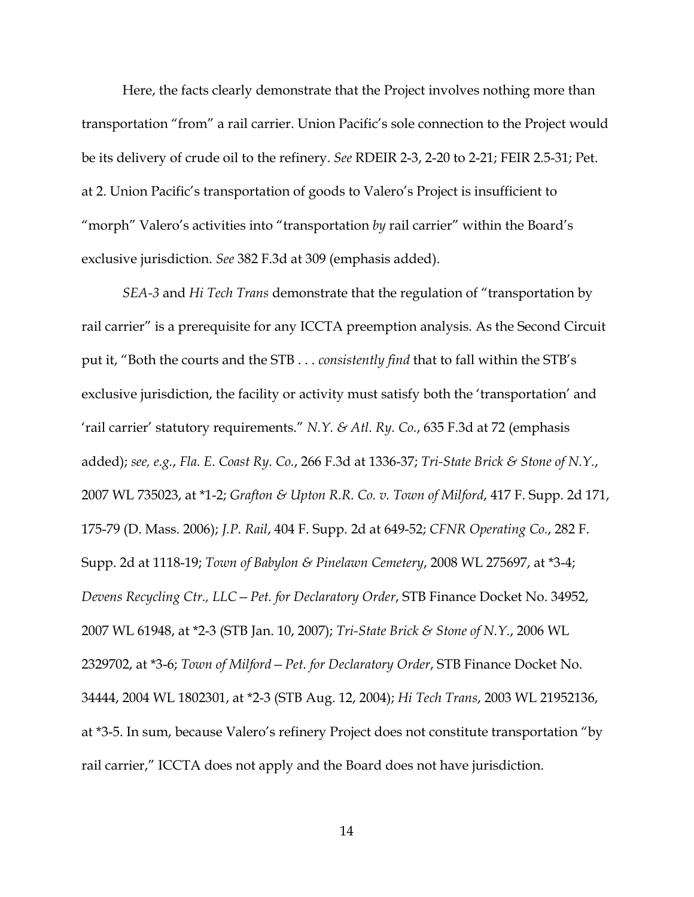Here, the facts clearly demonstrate that the Project involves nothing more than transportation "from" a rail carrier. Union Pacific's sole connection to the Project would be its delivery of crude oil to the refinery. *See* RDEIR 2-3, 2-20 to 2-21; FEIR 2.5-31; Pet. at 2. Union Pacific's transportation of goods to Valero's Project is insufficient to "morph" Valero's activities into "transportation *by* rail carrier" within the Board's exclusive jurisdiction. *See* 382 F.3d at 309 (emphasis added).

*SEA-3* and *Hi Tech Trans* demonstrate that the regulation of "transportation by rail carrier" is a prerequisite for any ICCTA preemption analysis. As the Second Circuit put it, "Both the courts and the STB . . . *consistently find* that to fall within the STB's exclusive jurisdiction, the facility or activity must satisfy both the 'transportation' and 'rail carrier' statutory requirements." *N.Y. & Atl. Ry. Co.*, 635 F.3d at 72 (emphasis added); *see, e.g.*, *Fla. E. Coast Ry. Co.*, 266 F.3d at 1336-37; *Tri-State Brick & Stone of N.Y.*, 2007 WL 735023, at \*1-2; *Grafton & Upton R.R. Co. v. Town of Milford*, 417 F. Supp. 2d 171, 175-79 (D. Mass. 2006); *J.P. Rail*, 404 F. Supp. 2d at 649-52; *CFNR Operating Co.*, 282 F. Supp. 2d at 1118-19; *Town of Babylon & Pinelawn Cemetery*, 2008 WL 275697, at \*3-4; *Devens Recycling Ctr., LLC—Pet. for Declaratory Order*, STB Finance Docket No. 34952, 2007 WL 61948, at \*2-3 (STB Jan. 10, 2007); *Tri-State Brick & Stone of N.Y.*, 2006 WL 2329702, at \*3-6; *Town of Milford—Pet. for Declaratory Order*, STB Finance Docket No. 34444, 2004 WL 1802301, at \*2-3 (STB Aug. 12, 2004); *Hi Tech Trans*, 2003 WL 21952136, at \*3-5. In sum, because Valero's refinery Project does not constitute transportation "by rail carrier," ICCTA does not apply and the Board does not have jurisdiction.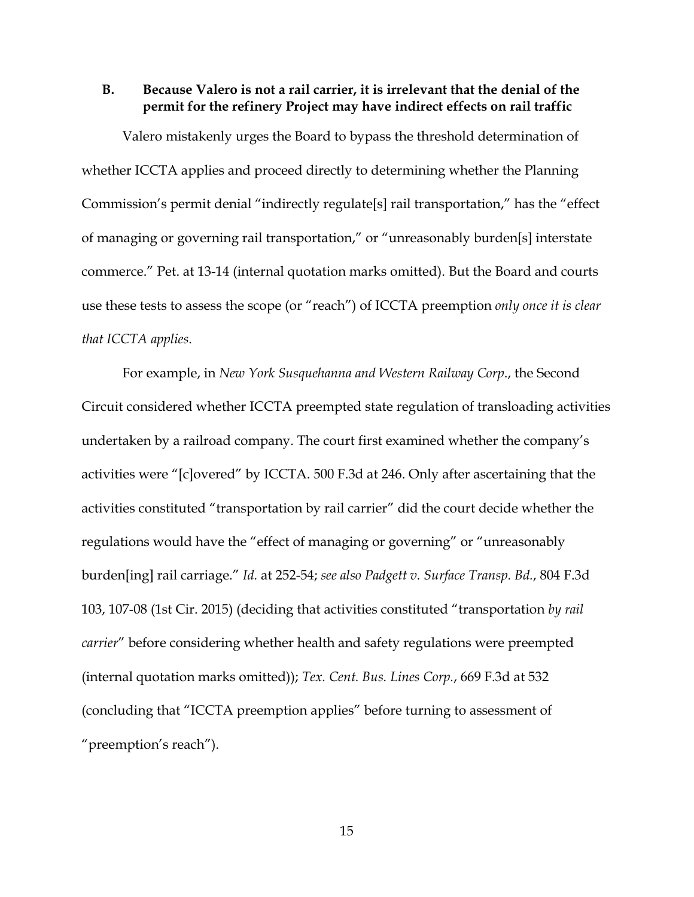## **B. Because Valero is not a rail carrier, it is irrelevant that the denial of the permit for the refinery Project may have indirect effects on rail traffic**

Valero mistakenly urges the Board to bypass the threshold determination of whether ICCTA applies and proceed directly to determining whether the Planning Commission's permit denial "indirectly regulate[s] rail transportation," has the "effect of managing or governing rail transportation," or "unreasonably burden[s] interstate commerce." Pet. at 13-14 (internal quotation marks omitted). But the Board and courts use these tests to assess the scope (or "reach") of ICCTA preemption *only once it is clear that ICCTA applies*.

For example, in *New York Susquehanna and Western Railway Corp*., the Second Circuit considered whether ICCTA preempted state regulation of transloading activities undertaken by a railroad company. The court first examined whether the company's activities were "[c]overed" by ICCTA. 500 F.3d at 246. Only after ascertaining that the activities constituted "transportation by rail carrier" did the court decide whether the regulations would have the "effect of managing or governing" or "unreasonably burden[ing] rail carriage." *Id.* at 252-54; *see also Padgett v. Surface Transp. Bd.*, 804 F.3d 103, 107-08 (1st Cir. 2015) (deciding that activities constituted "transportation *by rail carrier*" before considering whether health and safety regulations were preempted (internal quotation marks omitted)); *Tex. Cent. Bus. Lines Corp.*, 669 F.3d at 532 (concluding that "ICCTA preemption applies" before turning to assessment of "preemption's reach").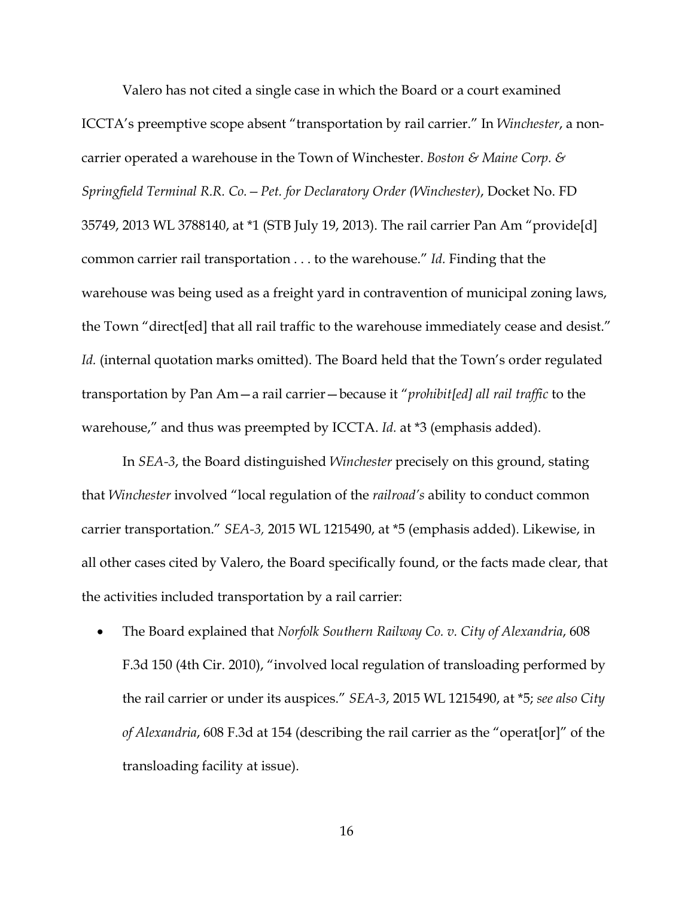Valero has not cited a single case in which the Board or a court examined ICCTA's preemptive scope absent "transportation by rail carrier." In *Winchester*, a noncarrier operated a warehouse in the Town of Winchester. *Boston & Maine Corp. & Springfield Terminal R.R. Co.—Pet. for Declaratory Order (Winchester)*, Docket No. FD 35749, 2013 WL 3788140, at \*1 (STB July 19, 2013). The rail carrier Pan Am "provide[d] common carrier rail transportation . . . to the warehouse." *Id.* Finding that the warehouse was being used as a freight yard in contravention of municipal zoning laws, the Town "direct[ed] that all rail traffic to the warehouse immediately cease and desist." Id. (internal quotation marks omitted). The Board held that the Town's order regulated transportation by Pan Am—a rail carrier—because it "*prohibit[ed] all rail traffic* to the warehouse," and thus was preempted by ICCTA. *Id.* at \*3 (emphasis added).

In *SEA-3*, the Board distinguished *Winchester* precisely on this ground, stating that *Winchester* involved "local regulation of the *railroad's* ability to conduct common carrier transportation." *SEA-3,* 2015 WL 1215490, at \*5 (emphasis added). Likewise, in all other cases cited by Valero, the Board specifically found, or the facts made clear, that the activities included transportation by a rail carrier:

• The Board explained that *Norfolk Southern Railway Co. v. City of Alexandria*, 608 F.3d 150 (4th Cir. 2010), "involved local regulation of transloading performed by the rail carrier or under its auspices." *SEA-3*, 2015 WL 1215490, at \*5; *see also City of Alexandria*, 608 F.3d at 154 (describing the rail carrier as the "operat[or]" of the transloading facility at issue).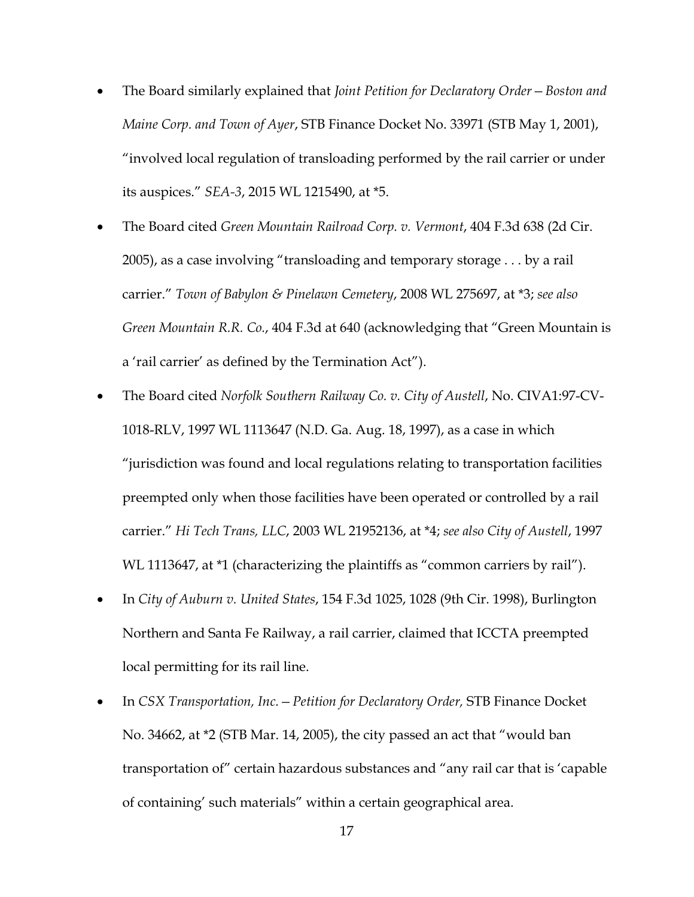- The Board similarly explained that *Joint Petition for Declaratory Order—Boston and Maine Corp. and Town of Ayer*, STB Finance Docket No. 33971 (STB May 1, 2001), "involved local regulation of transloading performed by the rail carrier or under its auspices." *SEA-3*, 2015 WL 1215490, at \*5.
- The Board cited *Green Mountain Railroad Corp. v. Vermont*, 404 F.3d 638 (2d Cir. 2005), as a case involving "transloading and temporary storage . . . by a rail carrier." *Town of Babylon & Pinelawn Cemetery*, 2008 WL 275697, at \*3; *see also Green Mountain R.R. Co.*, 404 F.3d at 640 (acknowledging that "Green Mountain is a 'rail carrier' as defined by the Termination Act").
- The Board cited *Norfolk Southern Railway Co. v. City of Austell*, No. CIVA1:97-CV-1018-RLV, 1997 WL 1113647 (N.D. Ga. Aug. 18, 1997), as a case in which "jurisdiction was found and local regulations relating to transportation facilities preempted only when those facilities have been operated or controlled by a rail carrier." *Hi Tech Trans, LLC*, 2003 WL 21952136, at \*4; *see also City of Austell*, 1997 WL 1113647, at \*1 (characterizing the plaintiffs as "common carriers by rail").
- In *City of Auburn v. United States*, 154 F.3d 1025, 1028 (9th Cir. 1998), Burlington Northern and Santa Fe Railway, a rail carrier, claimed that ICCTA preempted local permitting for its rail line.
- In *CSX Transportation, Inc.* Petition for Declaratory Order, STB Finance Docket No. 34662, at \*2 (STB Mar. 14, 2005), the city passed an act that "would ban transportation of" certain hazardous substances and "any rail car that is 'capable of containing' such materials" within a certain geographical area.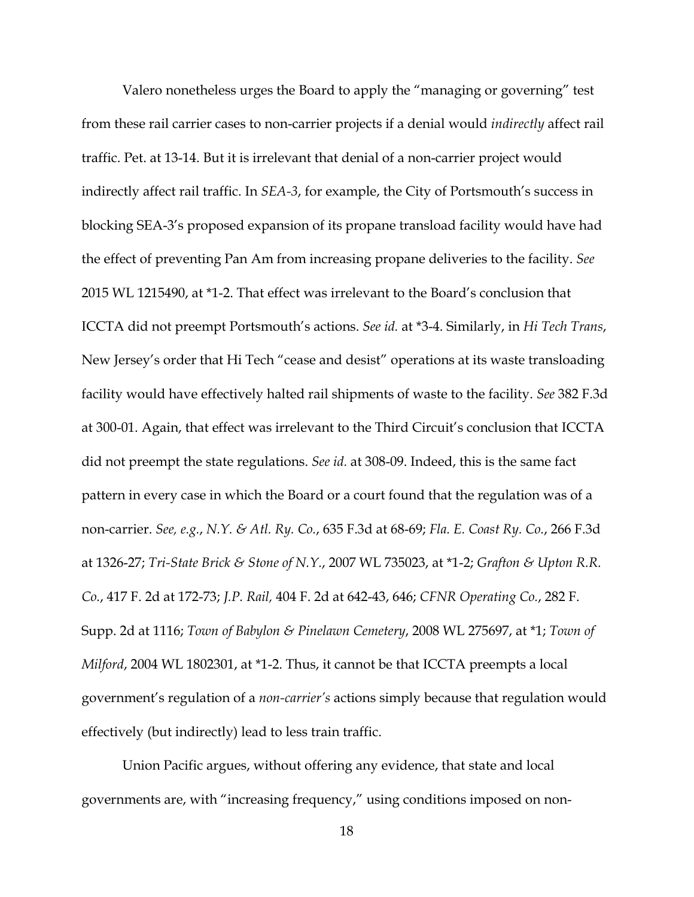Valero nonetheless urges the Board to apply the "managing or governing" test from these rail carrier cases to non-carrier projects if a denial would *indirectly* affect rail traffic. Pet. at 13-14. But it is irrelevant that denial of a non-carrier project would indirectly affect rail traffic. In *SEA-3*, for example, the City of Portsmouth's success in blocking SEA-3's proposed expansion of its propane transload facility would have had the effect of preventing Pan Am from increasing propane deliveries to the facility. *See* 2015 WL 1215490, at \*1-2. That effect was irrelevant to the Board's conclusion that ICCTA did not preempt Portsmouth's actions. *See id.* at \*3-4. Similarly, in *Hi Tech Trans*, New Jersey's order that Hi Tech "cease and desist" operations at its waste transloading facility would have effectively halted rail shipments of waste to the facility. *See* 382 F.3d at 300-01. Again, that effect was irrelevant to the Third Circuit's conclusion that ICCTA did not preempt the state regulations. *See id.* at 308-09. Indeed, this is the same fact pattern in every case in which the Board or a court found that the regulation was of a non-carrier. *See, e.g.*, *N.Y. & Atl. Ry. Co.*, 635 F.3d at 68-69; *Fla. E. Coast Ry. Co.*, 266 F.3d at 1326-27; *Tri-State Brick & Stone of N.Y.*, 2007 WL 735023, at \*1-2; *Grafton & Upton R.R. Co.*, 417 F. 2d at 172-73; *J.P. Rail,* 404 F. 2d at 642-43, 646; *CFNR Operating Co.*, 282 F. Supp. 2d at 1116; *Town of Babylon & Pinelawn Cemetery*, 2008 WL 275697, at \*1; *Town of Milford*, 2004 WL 1802301, at \*1-2. Thus, it cannot be that ICCTA preempts a local government's regulation of a *non-carrier's* actions simply because that regulation would effectively (but indirectly) lead to less train traffic.

Union Pacific argues, without offering any evidence, that state and local governments are, with "increasing frequency," using conditions imposed on non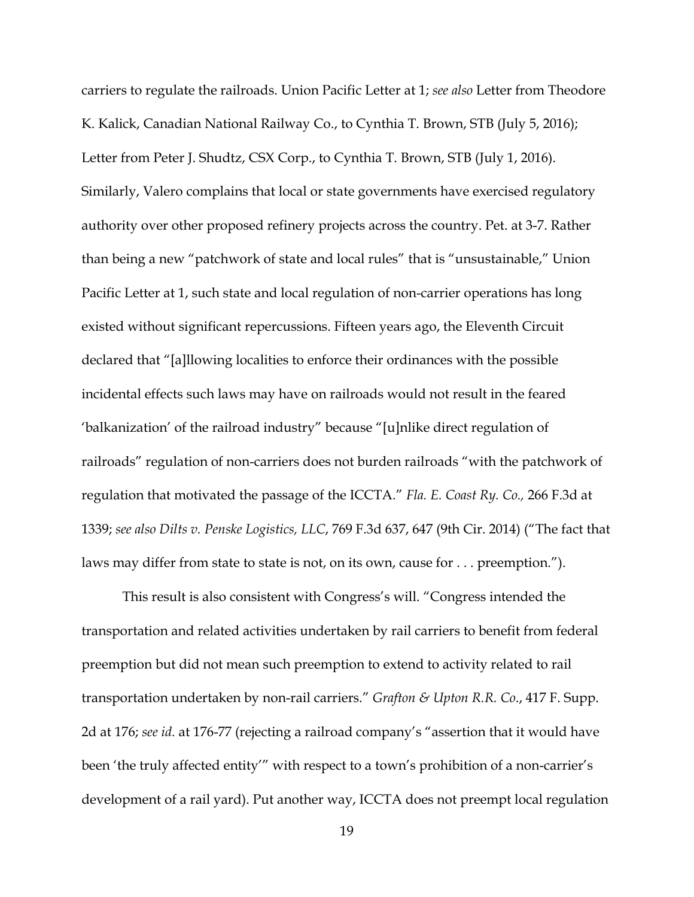carriers to regulate the railroads. Union Pacific Letter at 1; *see also* Letter from Theodore K. Kalick, Canadian National Railway Co., to Cynthia T. Brown, STB (July 5, 2016); Letter from Peter J. Shudtz, CSX Corp., to Cynthia T. Brown, STB (July 1, 2016). Similarly, Valero complains that local or state governments have exercised regulatory authority over other proposed refinery projects across the country. Pet. at 3-7. Rather than being a new "patchwork of state and local rules" that is "unsustainable," Union Pacific Letter at 1, such state and local regulation of non-carrier operations has long existed without significant repercussions. Fifteen years ago, the Eleventh Circuit declared that "[a]llowing localities to enforce their ordinances with the possible incidental effects such laws may have on railroads would not result in the feared 'balkanization' of the railroad industry" because "[u]nlike direct regulation of railroads" regulation of non-carriers does not burden railroads "with the patchwork of regulation that motivated the passage of the ICCTA." *Fla. E. Coast Ry. Co.,* 266 F.3d at 1339; *see also Dilts v. Penske Logistics, LLC*, 769 F.3d 637, 647 (9th Cir. 2014) ("The fact that laws may differ from state to state is not, on its own, cause for . . . preemption.").

This result is also consistent with Congress's will. "Congress intended the transportation and related activities undertaken by rail carriers to benefit from federal preemption but did not mean such preemption to extend to activity related to rail transportation undertaken by non-rail carriers." *Grafton & Upton R.R. Co*., 417 F. Supp. 2d at 176; *see id.* at 176-77 (rejecting a railroad company's "assertion that it would have been 'the truly affected entity'" with respect to a town's prohibition of a non-carrier's development of a rail yard). Put another way, ICCTA does not preempt local regulation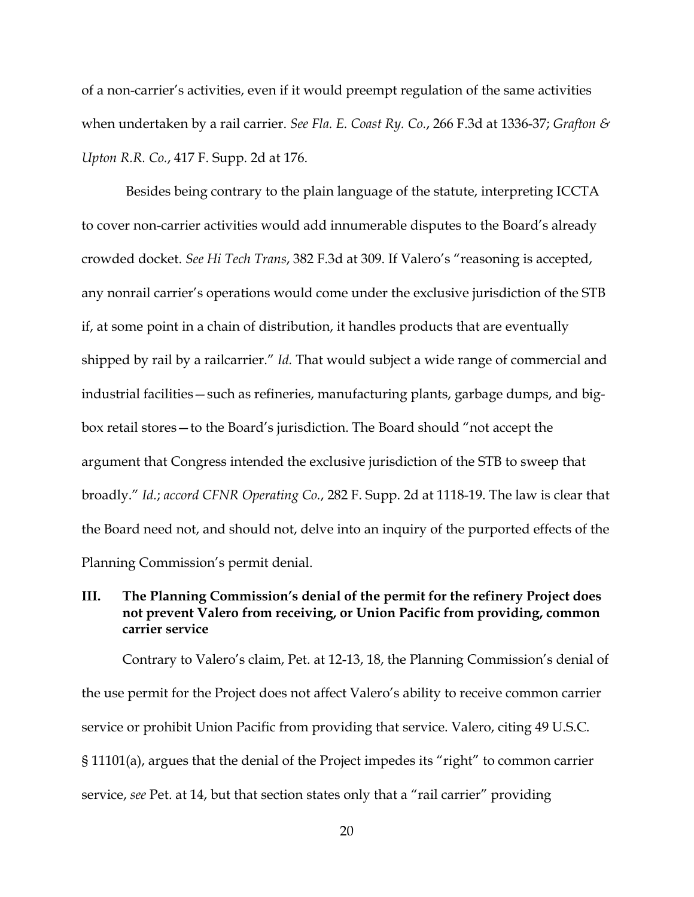of a non-carrier's activities, even if it would preempt regulation of the same activities when undertaken by a rail carrier. *See Fla. E. Coast Ry. Co.*, 266 F.3d at 1336-37; *Grafton & Upton R.R. Co.*, 417 F. Supp. 2d at 176.

Besides being contrary to the plain language of the statute, interpreting ICCTA to cover non-carrier activities would add innumerable disputes to the Board's already crowded docket. *See Hi Tech Trans*, 382 F.3d at 309. If Valero's "reasoning is accepted, any nonrail carrier's operations would come under the exclusive jurisdiction of the STB if, at some point in a chain of distribution, it handles products that are eventually shipped by rail by a railcarrier." *Id.* That would subject a wide range of commercial and industrial facilities—such as refineries, manufacturing plants, garbage dumps, and bigbox retail stores—to the Board's jurisdiction. The Board should "not accept the argument that Congress intended the exclusive jurisdiction of the STB to sweep that broadly." *Id.*; *accord CFNR Operating Co.*, 282 F. Supp. 2d at 1118-19. The law is clear that the Board need not, and should not, delve into an inquiry of the purported effects of the Planning Commission's permit denial.

# **III. The Planning Commission's denial of the permit for the refinery Project does not prevent Valero from receiving, or Union Pacific from providing, common carrier service**

Contrary to Valero's claim, Pet. at 12-13, 18, the Planning Commission's denial of the use permit for the Project does not affect Valero's ability to receive common carrier service or prohibit Union Pacific from providing that service. Valero, citing 49 U.S.C. § 11101(a), argues that the denial of the Project impedes its "right" to common carrier service, *see* Pet. at 14, but that section states only that a "rail carrier" providing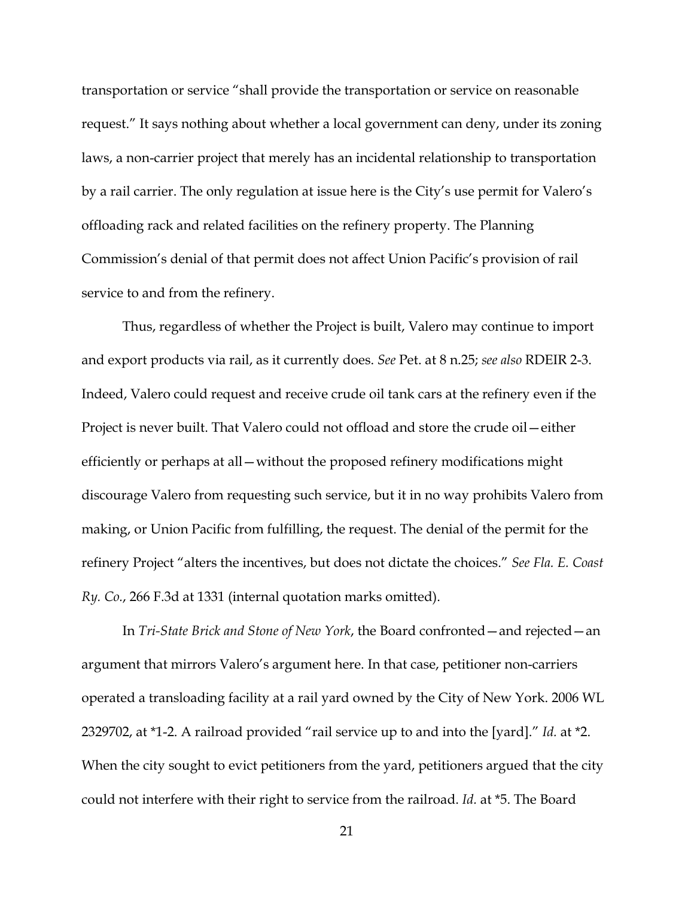transportation or service "shall provide the transportation or service on reasonable request." It says nothing about whether a local government can deny, under its zoning laws, a non-carrier project that merely has an incidental relationship to transportation by a rail carrier. The only regulation at issue here is the City's use permit for Valero's offloading rack and related facilities on the refinery property. The Planning Commission's denial of that permit does not affect Union Pacific's provision of rail service to and from the refinery.

Thus, regardless of whether the Project is built, Valero may continue to import and export products via rail, as it currently does. *See* Pet. at 8 n.25; *see also* RDEIR 2-3. Indeed, Valero could request and receive crude oil tank cars at the refinery even if the Project is never built. That Valero could not offload and store the crude oil—either efficiently or perhaps at all—without the proposed refinery modifications might discourage Valero from requesting such service, but it in no way prohibits Valero from making, or Union Pacific from fulfilling, the request. The denial of the permit for the refinery Project "alters the incentives, but does not dictate the choices." *See Fla. E. Coast Ry. Co.*, 266 F.3d at 1331 (internal quotation marks omitted).

In *Tri-State Brick and Stone of New York*, the Board confronted—and rejected—an argument that mirrors Valero's argument here. In that case, petitioner non-carriers operated a transloading facility at a rail yard owned by the City of New York. 2006 WL 2329702, at \*1-2. A railroad provided "rail service up to and into the [yard]." *Id.* at \*2. When the city sought to evict petitioners from the yard, petitioners argued that the city could not interfere with their right to service from the railroad. *Id.* at \*5. The Board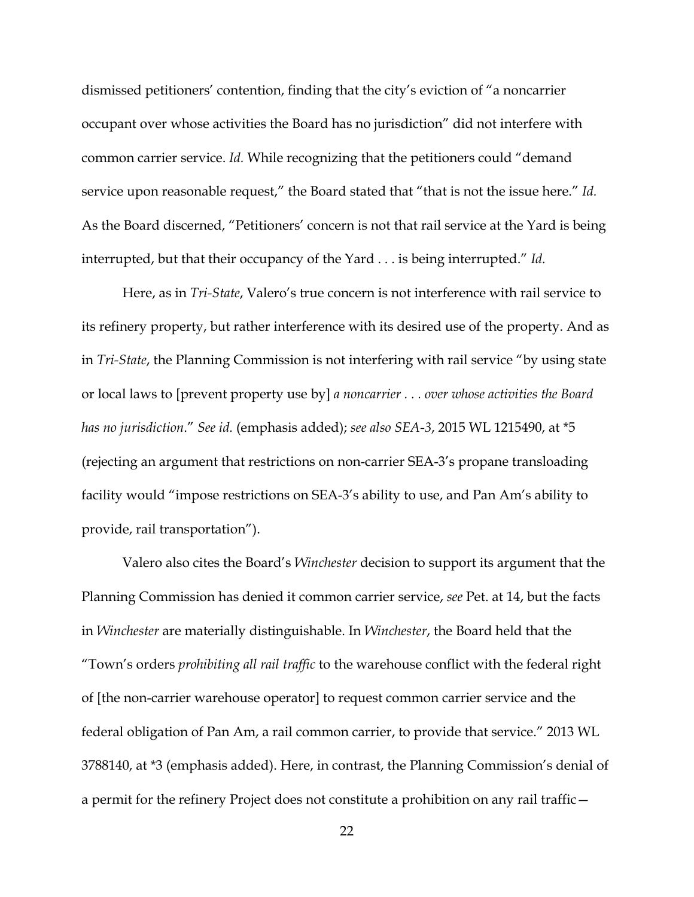dismissed petitioners' contention, finding that the city's eviction of "a noncarrier occupant over whose activities the Board has no jurisdiction" did not interfere with common carrier service. *Id.* While recognizing that the petitioners could "demand service upon reasonable request," the Board stated that "that is not the issue here." *Id.* As the Board discerned, "Petitioners' concern is not that rail service at the Yard is being interrupted, but that their occupancy of the Yard . . . is being interrupted." *Id.*

Here, as in *Tri-State*, Valero's true concern is not interference with rail service to its refinery property, but rather interference with its desired use of the property. And as in *Tri-State*, the Planning Commission is not interfering with rail service "by using state or local laws to [prevent property use by] *a noncarrier . . . over whose activities the Board has no jurisdiction*." *See id.* (emphasis added); *see also SEA-3*, 2015 WL 1215490, at \*5 (rejecting an argument that restrictions on non-carrier SEA-3's propane transloading facility would "impose restrictions on SEA-3's ability to use, and Pan Am's ability to provide, rail transportation").

Valero also cites the Board's *Winchester* decision to support its argument that the Planning Commission has denied it common carrier service, *see* Pet. at 14, but the facts in *Winchester* are materially distinguishable. In *Winchester*, the Board held that the "Town's orders *prohibiting all rail traffic* to the warehouse conflict with the federal right of [the non-carrier warehouse operator] to request common carrier service and the federal obligation of Pan Am, a rail common carrier, to provide that service." 2013 WL 3788140, at \*3 (emphasis added). Here, in contrast, the Planning Commission's denial of a permit for the refinery Project does not constitute a prohibition on any rail traffic—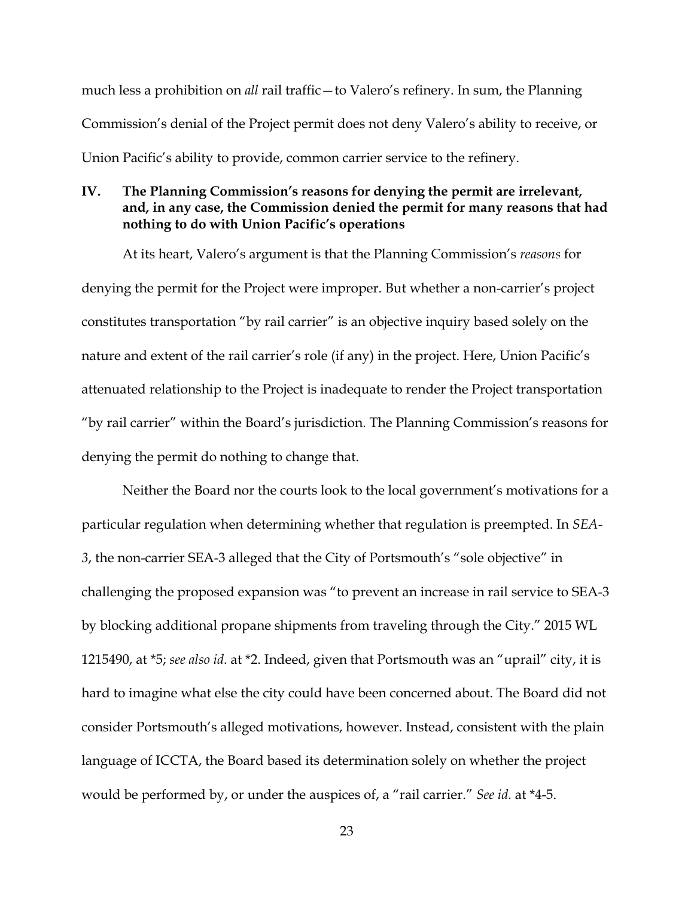much less a prohibition on *all* rail traffic—to Valero's refinery. In sum, the Planning Commission's denial of the Project permit does not deny Valero's ability to receive, or Union Pacific's ability to provide, common carrier service to the refinery.

# **IV. The Planning Commission's reasons for denying the permit are irrelevant, and, in any case, the Commission denied the permit for many reasons that had nothing to do with Union Pacific's operations**

At its heart, Valero's argument is that the Planning Commission's *reasons* for denying the permit for the Project were improper. But whether a non-carrier's project constitutes transportation "by rail carrier" is an objective inquiry based solely on the nature and extent of the rail carrier's role (if any) in the project. Here, Union Pacific's attenuated relationship to the Project is inadequate to render the Project transportation "by rail carrier" within the Board's jurisdiction. The Planning Commission's reasons for denying the permit do nothing to change that.

Neither the Board nor the courts look to the local government's motivations for a particular regulation when determining whether that regulation is preempted. In *SEA-3*, the non-carrier SEA-3 alleged that the City of Portsmouth's "sole objective" in challenging the proposed expansion was "to prevent an increase in rail service to SEA-3 by blocking additional propane shipments from traveling through the City." 2015 WL 1215490, at \*5; *see also id.* at \*2. Indeed, given that Portsmouth was an "uprail" city, it is hard to imagine what else the city could have been concerned about. The Board did not consider Portsmouth's alleged motivations, however. Instead, consistent with the plain language of ICCTA, the Board based its determination solely on whether the project would be performed by, or under the auspices of, a "rail carrier." *See id.* at \*4-5.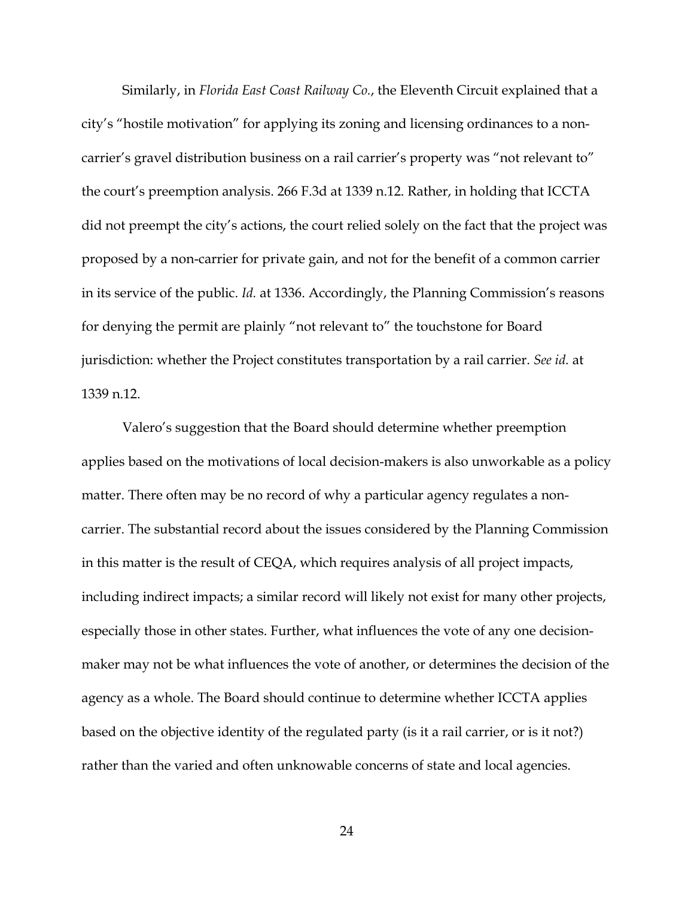Similarly, in *Florida East Coast Railway Co.*, the Eleventh Circuit explained that a city's "hostile motivation" for applying its zoning and licensing ordinances to a noncarrier's gravel distribution business on a rail carrier's property was "not relevant to" the court's preemption analysis. 266 F.3d at 1339 n.12. Rather, in holding that ICCTA did not preempt the city's actions, the court relied solely on the fact that the project was proposed by a non-carrier for private gain, and not for the benefit of a common carrier in its service of the public. *Id.* at 1336. Accordingly, the Planning Commission's reasons for denying the permit are plainly "not relevant to" the touchstone for Board jurisdiction: whether the Project constitutes transportation by a rail carrier. *See id.* at 1339 n.12.

Valero's suggestion that the Board should determine whether preemption applies based on the motivations of local decision-makers is also unworkable as a policy matter. There often may be no record of why a particular agency regulates a noncarrier. The substantial record about the issues considered by the Planning Commission in this matter is the result of CEQA, which requires analysis of all project impacts, including indirect impacts; a similar record will likely not exist for many other projects, especially those in other states. Further, what influences the vote of any one decisionmaker may not be what influences the vote of another, or determines the decision of the agency as a whole. The Board should continue to determine whether ICCTA applies based on the objective identity of the regulated party (is it a rail carrier, or is it not?) rather than the varied and often unknowable concerns of state and local agencies.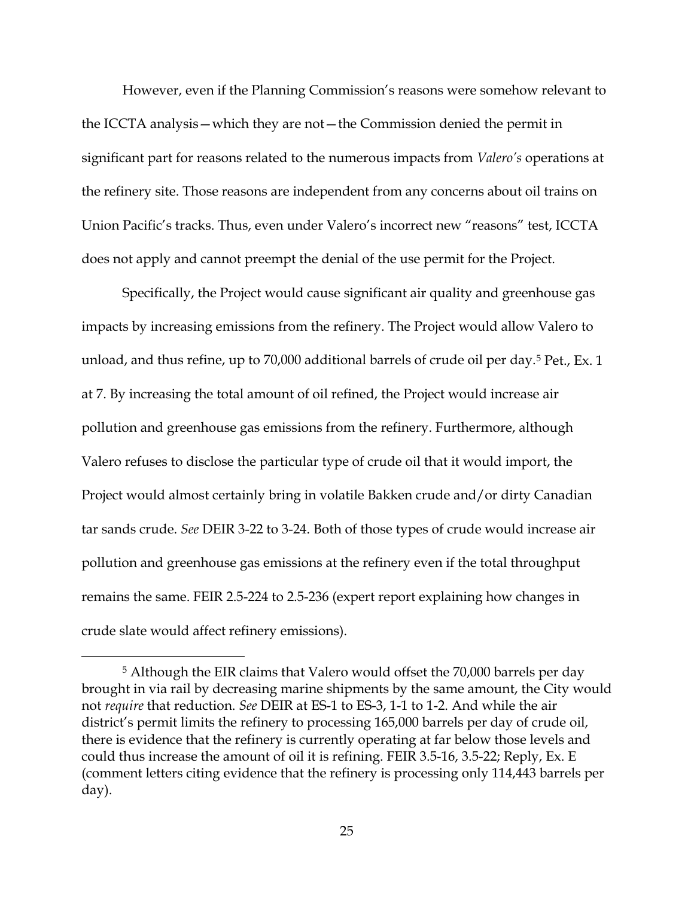However, even if the Planning Commission's reasons were somehow relevant to the ICCTA analysis—which they are not—the Commission denied the permit in significant part for reasons related to the numerous impacts from *Valero's* operations at the refinery site. Those reasons are independent from any concerns about oil trains on Union Pacific's tracks. Thus, even under Valero's incorrect new "reasons" test, ICCTA does not apply and cannot preempt the denial of the use permit for the Project.

Specifically, the Project would cause significant air quality and greenhouse gas impacts by increasing emissions from the refinery. The Project would allow Valero to unload, and thus refine, up to 70,000 additional barrels of crude oil per day.5 Pet., Ex. 1 at 7. By increasing the total amount of oil refined, the Project would increase air pollution and greenhouse gas emissions from the refinery. Furthermore, although Valero refuses to disclose the particular type of crude oil that it would import, the Project would almost certainly bring in volatile Bakken crude and/or dirty Canadian tar sands crude. *See* DEIR 3-22 to 3-24. Both of those types of crude would increase air pollution and greenhouse gas emissions at the refinery even if the total throughput remains the same. FEIR 2.5-224 to 2.5-236 (expert report explaining how changes in crude slate would affect refinery emissions).

 <sup>5</sup> Although the EIR claims that Valero would offset the 70,000 barrels per day brought in via rail by decreasing marine shipments by the same amount, the City would not *require* that reduction. *See* DEIR at ES-1 to ES-3, 1-1 to 1-2. And while the air district's permit limits the refinery to processing 165,000 barrels per day of crude oil, there is evidence that the refinery is currently operating at far below those levels and could thus increase the amount of oil it is refining. FEIR 3.5-16, 3.5-22; Reply, Ex. E (comment letters citing evidence that the refinery is processing only 114,443 barrels per day).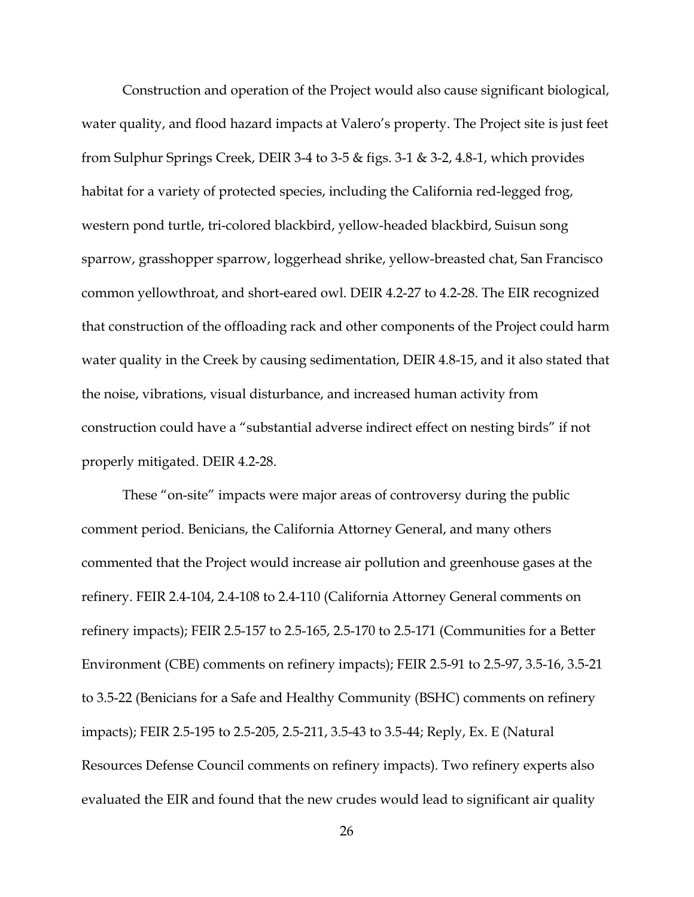Construction and operation of the Project would also cause significant biological, water quality, and flood hazard impacts at Valero's property. The Project site is just feet from Sulphur Springs Creek, DEIR 3-4 to 3-5 & figs. 3-1 & 3-2, 4.8-1, which provides habitat for a variety of protected species, including the California red-legged frog, western pond turtle, tri-colored blackbird, yellow-headed blackbird, Suisun song sparrow, grasshopper sparrow, loggerhead shrike, yellow-breasted chat, San Francisco common yellowthroat, and short-eared owl. DEIR 4.2-27 to 4.2-28. The EIR recognized that construction of the offloading rack and other components of the Project could harm water quality in the Creek by causing sedimentation, DEIR 4.8-15, and it also stated that the noise, vibrations, visual disturbance, and increased human activity from construction could have a "substantial adverse indirect effect on nesting birds" if not properly mitigated. DEIR 4.2-28.

These "on-site" impacts were major areas of controversy during the public comment period. Benicians, the California Attorney General, and many others commented that the Project would increase air pollution and greenhouse gases at the refinery. FEIR 2.4-104, 2.4-108 to 2.4-110 (California Attorney General comments on refinery impacts); FEIR 2.5-157 to 2.5-165, 2.5-170 to 2.5-171 (Communities for a Better Environment (CBE) comments on refinery impacts); FEIR 2.5-91 to 2.5-97, 3.5-16, 3.5-21 to 3.5-22 (Benicians for a Safe and Healthy Community (BSHC) comments on refinery impacts); FEIR 2.5-195 to 2.5-205, 2.5-211, 3.5-43 to 3.5-44; Reply, Ex. E (Natural Resources Defense Council comments on refinery impacts). Two refinery experts also evaluated the EIR and found that the new crudes would lead to significant air quality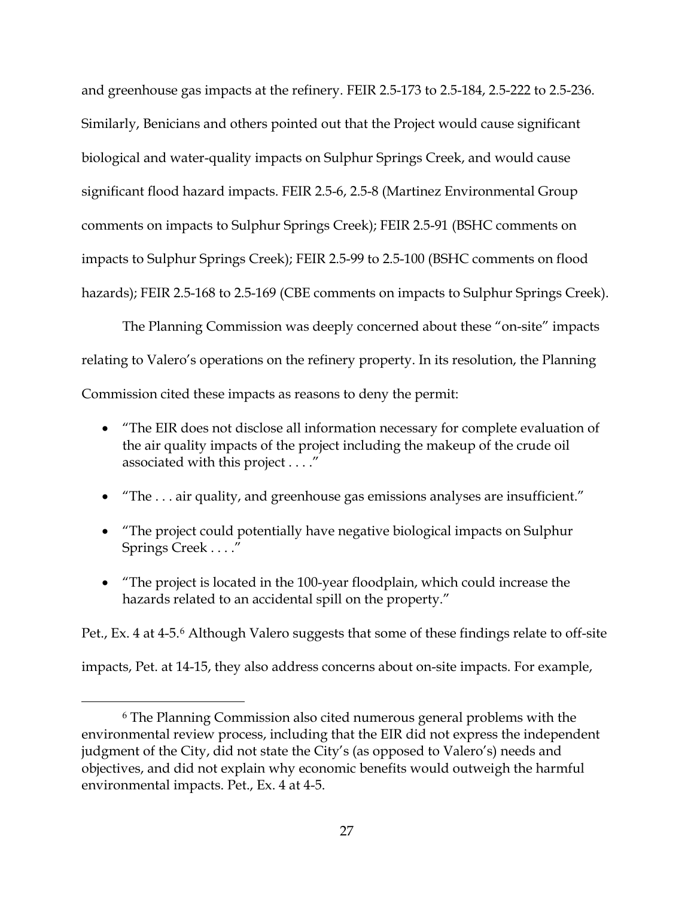and greenhouse gas impacts at the refinery. FEIR 2.5-173 to 2.5-184, 2.5-222 to 2.5-236. Similarly, Benicians and others pointed out that the Project would cause significant biological and water-quality impacts on Sulphur Springs Creek, and would cause significant flood hazard impacts. FEIR 2.5-6, 2.5-8 (Martinez Environmental Group comments on impacts to Sulphur Springs Creek); FEIR 2.5-91 (BSHC comments on impacts to Sulphur Springs Creek); FEIR 2.5-99 to 2.5-100 (BSHC comments on flood hazards); FEIR 2.5-168 to 2.5-169 (CBE comments on impacts to Sulphur Springs Creek).

The Planning Commission was deeply concerned about these "on-site" impacts relating to Valero's operations on the refinery property. In its resolution, the Planning Commission cited these impacts as reasons to deny the permit:

- "The EIR does not disclose all information necessary for complete evaluation of the air quality impacts of the project including the makeup of the crude oil associated with this project . . . ."
- "The ... air quality, and greenhouse gas emissions analyses are insufficient."
- "The project could potentially have negative biological impacts on Sulphur Springs Creek . . . ."
- "The project is located in the 100-year floodplain, which could increase the hazards related to an accidental spill on the property."

Pet., Ex. 4 at 4-5.<sup>6</sup> Although Valero suggests that some of these findings relate to off-site

impacts, Pet. at 14-15, they also address concerns about on-site impacts. For example,

 <sup>6</sup> The Planning Commission also cited numerous general problems with the environmental review process, including that the EIR did not express the independent judgment of the City, did not state the City's (as opposed to Valero's) needs and objectives, and did not explain why economic benefits would outweigh the harmful environmental impacts. Pet., Ex. 4 at 4-5.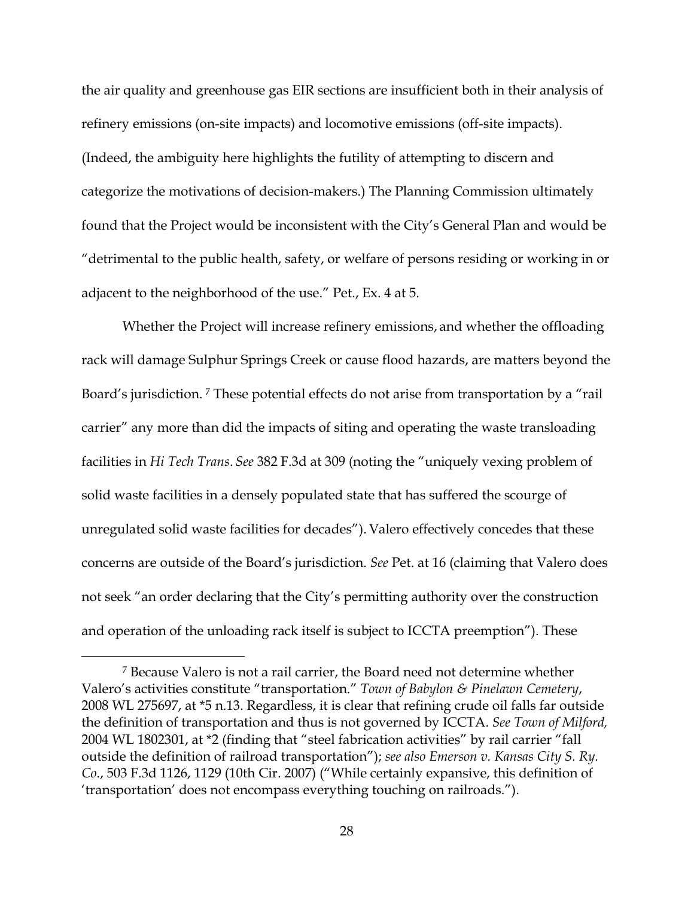the air quality and greenhouse gas EIR sections are insufficient both in their analysis of refinery emissions (on-site impacts) and locomotive emissions (off-site impacts). (Indeed, the ambiguity here highlights the futility of attempting to discern and categorize the motivations of decision-makers.) The Planning Commission ultimately found that the Project would be inconsistent with the City's General Plan and would be "detrimental to the public health, safety, or welfare of persons residing or working in or adjacent to the neighborhood of the use." Pet., Ex. 4 at 5.

Whether the Project will increase refinery emissions, and whether the offloading rack will damage Sulphur Springs Creek or cause flood hazards, are matters beyond the Board's jurisdiction. 7 These potential effects do not arise from transportation by a "rail carrier" any more than did the impacts of siting and operating the waste transloading facilities in *Hi Tech Trans*. *See* 382 F.3d at 309 (noting the "uniquely vexing problem of solid waste facilities in a densely populated state that has suffered the scourge of unregulated solid waste facilities for decades"). Valero effectively concedes that these concerns are outside of the Board's jurisdiction. *See* Pet. at 16 (claiming that Valero does not seek "an order declaring that the City's permitting authority over the construction and operation of the unloading rack itself is subject to ICCTA preemption"). These

 <sup>7</sup> Because Valero is not a rail carrier, the Board need not determine whether Valero's activities constitute "transportation." *Town of Babylon & Pinelawn Cemetery*, 2008 WL 275697, at \*5 n.13. Regardless, it is clear that refining crude oil falls far outside the definition of transportation and thus is not governed by ICCTA. *See Town of Milford,*  2004 WL 1802301, at \*2 (finding that "steel fabrication activities" by rail carrier "fall outside the definition of railroad transportation"); *see also Emerson v. Kansas City S. Ry. Co*., 503 F.3d 1126, 1129 (10th Cir. 2007) ("While certainly expansive, this definition of 'transportation' does not encompass everything touching on railroads.").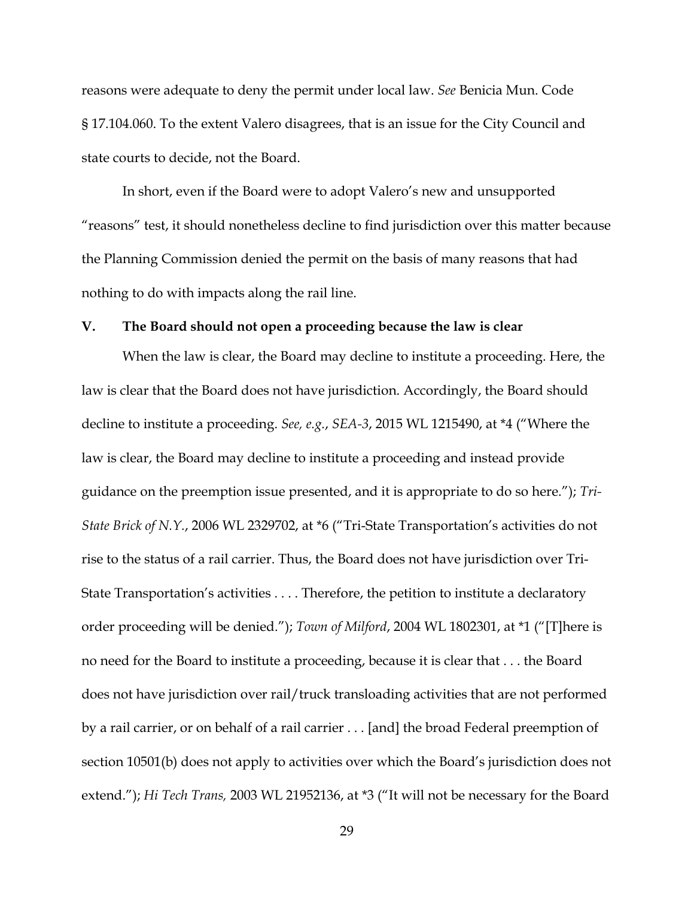reasons were adequate to deny the permit under local law. *See* Benicia Mun. Code § 17.104.060. To the extent Valero disagrees, that is an issue for the City Council and state courts to decide, not the Board.

In short, even if the Board were to adopt Valero's new and unsupported "reasons" test, it should nonetheless decline to find jurisdiction over this matter because the Planning Commission denied the permit on the basis of many reasons that had nothing to do with impacts along the rail line.

#### **V. The Board should not open a proceeding because the law is clear**

When the law is clear, the Board may decline to institute a proceeding. Here, the law is clear that the Board does not have jurisdiction. Accordingly, the Board should decline to institute a proceeding. *See, e.g.*, *SEA-3*, 2015 WL 1215490, at \*4 ("Where the law is clear, the Board may decline to institute a proceeding and instead provide guidance on the preemption issue presented, and it is appropriate to do so here."); *Tri-State Brick of N.Y.*, 2006 WL 2329702, at \*6 ("Tri-State Transportation's activities do not rise to the status of a rail carrier. Thus, the Board does not have jurisdiction over Tri-State Transportation's activities . . . . Therefore, the petition to institute a declaratory order proceeding will be denied."); *Town of Milford*, 2004 WL 1802301, at \*1 ("[T]here is no need for the Board to institute a proceeding, because it is clear that . . . the Board does not have jurisdiction over rail/truck transloading activities that are not performed by a rail carrier, or on behalf of a rail carrier . . . [and] the broad Federal preemption of section 10501(b) does not apply to activities over which the Board's jurisdiction does not extend."); *Hi Tech Trans,* 2003 WL 21952136, at \*3 ("It will not be necessary for the Board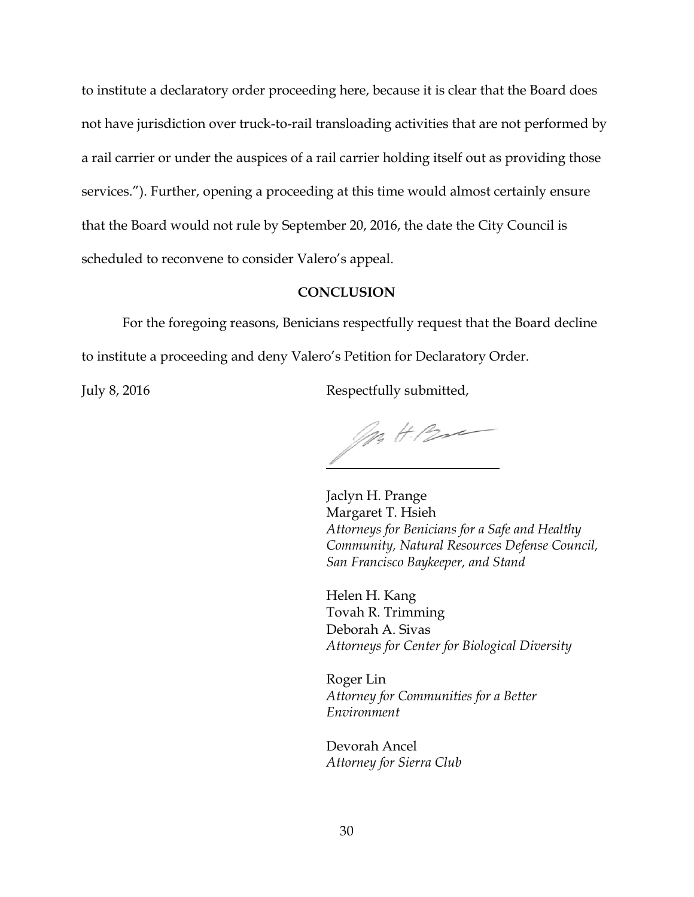to institute a declaratory order proceeding here, because it is clear that the Board does not have jurisdiction over truck-to-rail transloading activities that are not performed by a rail carrier or under the auspices of a rail carrier holding itself out as providing those services."). Further, opening a proceeding at this time would almost certainly ensure that the Board would not rule by September 20, 2016, the date the City Council is scheduled to reconvene to consider Valero's appeal.

#### **CONCLUSION**

For the foregoing reasons, Benicians respectfully request that the Board decline to institute a proceeding and deny Valero's Petition for Declaratory Order.

July 8, 2016 **Respectfully submitted**,

Mr H. Bre

Jaclyn H. Prange Margaret T. Hsieh *Attorneys for Benicians for a Safe and Healthy Community, Natural Resources Defense Council, San Francisco Baykeeper, and Stand*

Helen H. Kang Tovah R. Trimming Deborah A. Sivas *Attorneys for Center for Biological Diversity*

Roger Lin *Attorney for Communities for a Better Environment*

Devorah Ancel *Attorney for Sierra Club*